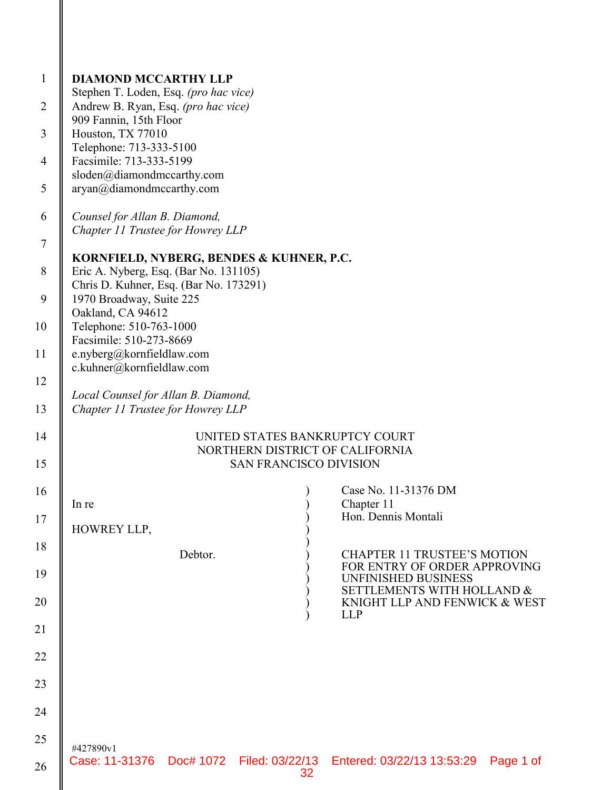| $\mathbf{1}$   | <b>DIAMOND MCCARTHY LLP</b>                                                                      |
|----------------|--------------------------------------------------------------------------------------------------|
| $\overline{2}$ | Stephen T. Loden, Esq. (pro hac vice)<br>Andrew B. Ryan, Esq. (pro hac vice)                     |
| 3              | 909 Fannin, 15th Floor<br>Houston, TX 77010                                                      |
| $\overline{4}$ | Telephone: 713-333-5100<br>Facsimile: 713-333-5199                                               |
|                | sloden@diamondmccarthy.com                                                                       |
| 5              | aryan@diamondmccarthy.com                                                                        |
| 6              | Counsel for Allan B. Diamond,<br>Chapter 11 Trustee for Howrey LLP                               |
| $\overline{7}$ |                                                                                                  |
| $8\,$          | KORNFIELD, NYBERG, BENDES & KUHNER, P.C.<br>Eric A. Nyberg, Esq. (Bar No. 131105)                |
| 9              | Chris D. Kuhner, Esq. (Bar No. 173291)<br>1970 Broadway, Suite 225<br>Oakland, CA 94612          |
| 10             | Telephone: 510-763-1000<br>Facsimile: 510-273-8669                                               |
| 11             | e.nyberg@kornfieldlaw.com<br>c.kuhner@kornfieldlaw.com                                           |
| 12             |                                                                                                  |
| 13             | Local Counsel for Allan B. Diamond,<br>Chapter 11 Trustee for Howrey LLP                         |
| 14             | UNITED STATES BANKRUPTCY COURT<br>NORTHERN DISTRICT OF CALIFORNIA                                |
| 15             | <b>SAN FRANCISCO DIVISION</b>                                                                    |
| 16             | Case No. 11-31376 DM<br>Chapter 11<br>In re                                                      |
| 17             | Hon. Dennis Montali<br>HOWREY LLP,                                                               |
| 18             | Debtor.<br><b>CHAPTER 11 TRUSTEE'S MOTION</b>                                                    |
| 19             | FOR ENTRY OF ORDER APPROVING<br>UNFINISHED BUSINESS                                              |
| 20             | SETTLEMENTS WITH HOLLAND &<br>KNIGHT LLP AND FENWICK & WEST<br><b>LLP</b>                        |
| 21             |                                                                                                  |
| 22             |                                                                                                  |
| 23             |                                                                                                  |
| 24             |                                                                                                  |
| 25             |                                                                                                  |
| 26             | #427890v1<br>Case: 11-31376 Doc# 1072 Filed: 03/22/13 Entered: 03/22/13 13:53:29 Page 1 of<br>32 |

II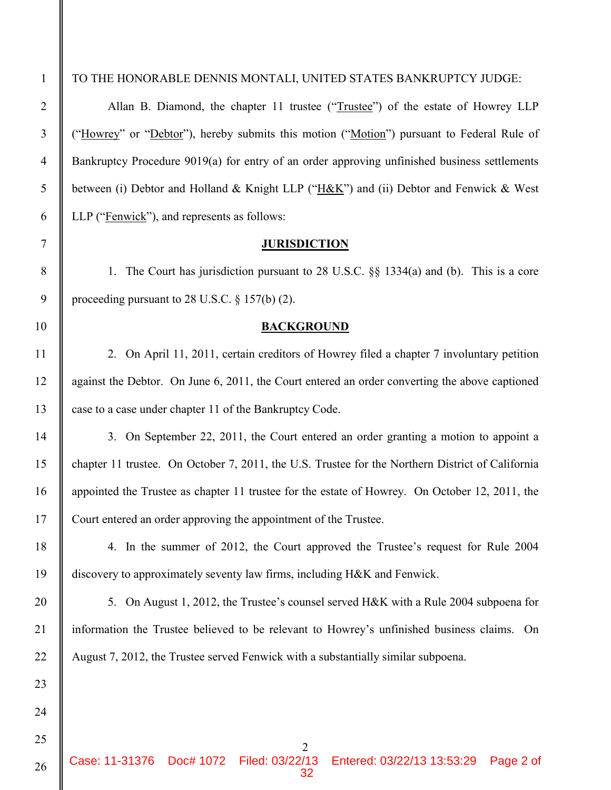25

26

TO THE HONORABLE DENNIS MONTALI, UNITED STATES BANKRUPTCY JUDGE:

Allan B. Diamond, the chapter 11 trustee ("Trustee") of the estate of Howrey LLP ("Howrey" or "Debtor"), hereby submits this motion ("Motion") pursuant to Federal Rule of Bankruptcy Procedure 9019(a) for entry of an order approving unfinished business settlements between (i) Debtor and Holland & Knight LLP ("H&K") and (ii) Debtor and Fenwick & West LLP ("Fenwick"), and represents as follows:

## **JURISDICTION**

1. The Court has jurisdiction pursuant to 28 U.S.C. §§ 1334(a) and (b). This is a core proceeding pursuant to 28 U.S.C. § 157(b) (2).

## **BACKGROUND**

2. On April 11, 2011, certain creditors of Howrey filed a chapter 7 involuntary petition against the Debtor. On June 6, 2011, the Court entered an order converting the above captioned case to a case under chapter 11 of the Bankruptcy Code.

3. On September 22, 2011, the Court entered an order granting a motion to appoint a chapter 11 trustee. On October 7, 2011, the U.S. Trustee for the Northern District of California appointed the Trustee as chapter 11 trustee for the estate of Howrey. On October 12, 2011, the Court entered an order approving the appointment of the Trustee.

4. In the summer of 2012, the Court approved the Trustee's request for Rule 2004 discovery to approximately seventy law firms, including H&K and Fenwick.

5. On August 1, 2012, the Trustee's counsel served H&K with a Rule 2004 subpoena for information the Trustee believed to be relevant to Howrey's unfinished business claims. On August 7, 2012, the Trustee served Fenwick with a substantially similar subpoena.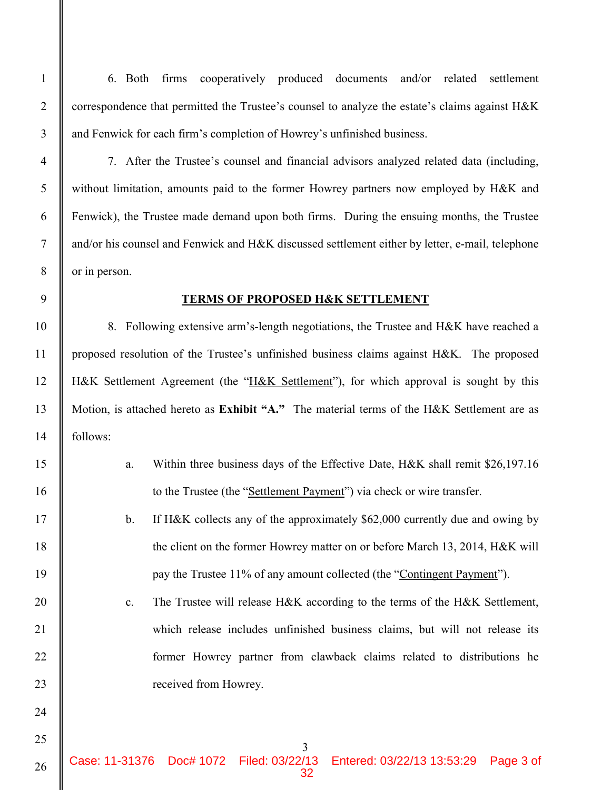6. Both firms cooperatively produced documents and/or related settlement correspondence that permitted the Trustee's counsel to analyze the estate's claims against H&K and Fenwick for each firm's completion of Howrey's unfinished business.

7. After the Trustee's counsel and financial advisors analyzed related data (including, without limitation, amounts paid to the former Howrey partners now employed by H&K and Fenwick), the Trustee made demand upon both firms. During the ensuing months, the Trustee and/or his counsel and Fenwick and H&K discussed settlement either by letter, e-mail, telephone or in person.

# **TERMS OF PROPOSED H&K SETTLEMENT**

8. Following extensive arm's-length negotiations, the Trustee and H&K have reached a proposed resolution of the Trustee's unfinished business claims against H&K. The proposed H&K Settlement Agreement (the "H&K Settlement"), for which approval is sought by this Motion, is attached hereto as **Exhibit "A."** The material terms of the H&K Settlement are as follows:

- a. Within three business days of the Effective Date, H&K shall remit \$26,197.16 to the Trustee (the "Settlement Payment") via check or wire transfer.
- b. If H&K collects any of the approximately \$62,000 currently due and owing by the client on the former Howrey matter on or before March 13, 2014, H&K will pay the Trustee 11% of any amount collected (the "Contingent Payment").
- c. The Trustee will release H&K according to the terms of the H&K Settlement, which release includes unfinished business claims, but will not release its former Howrey partner from clawback claims related to distributions he received from Howrey.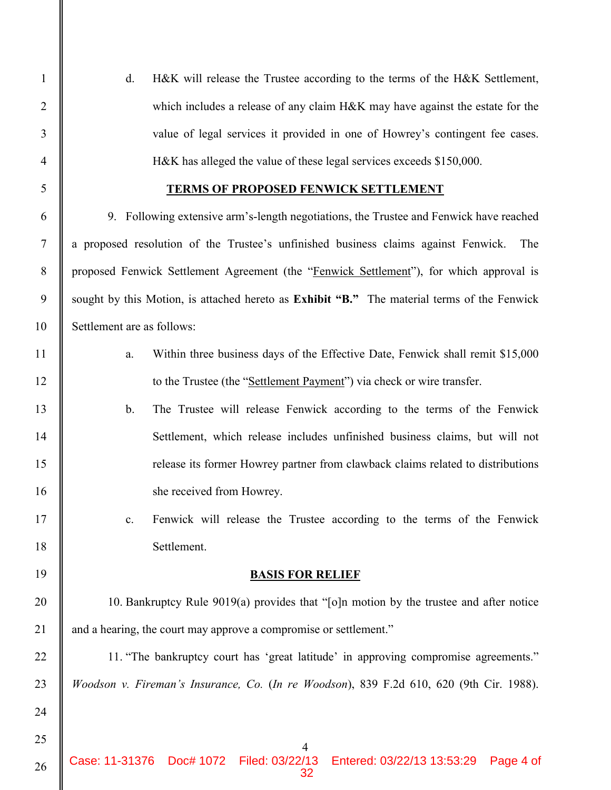26

d. H&K will release the Trustee according to the terms of the H&K Settlement, which includes a release of any claim H&K may have against the estate for the value of legal services it provided in one of Howrey's contingent fee cases. H&K has alleged the value of these legal services exceeds \$150,000.

# **TERMS OF PROPOSED FENWICK SETTLEMENT**

9. Following extensive arm's-length negotiations, the Trustee and Fenwick have reached a proposed resolution of the Trustee's unfinished business claims against Fenwick. The proposed Fenwick Settlement Agreement (the "Fenwick Settlement"), for which approval is sought by this Motion, is attached hereto as **Exhibit "B."** The material terms of the Fenwick Settlement are as follows:

- a. Within three business days of the Effective Date, Fenwick shall remit \$15,000 to the Trustee (the "Settlement Payment") via check or wire transfer.
- b. The Trustee will release Fenwick according to the terms of the Fenwick Settlement, which release includes unfinished business claims, but will not release its former Howrey partner from clawback claims related to distributions she received from Howrey.
	- c. Fenwick will release the Trustee according to the terms of the Fenwick Settlement.

# **BASIS FOR RELIEF**

10. Bankruptcy Rule 9019(a) provides that "[o]n motion by the trustee and after notice and a hearing, the court may approve a compromise or settlement."

11. "The bankruptcy court has 'great latitude' in approving compromise agreements." *Woodson v. Fireman's Insurance, Co.* (*In re Woodson*), 839 F.2d 610, 620 (9th Cir. 1988).

4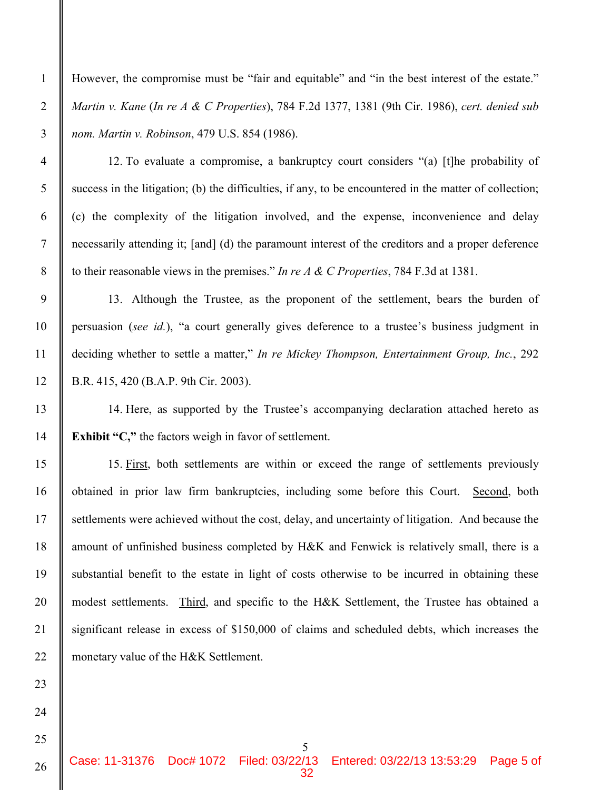25

26

1

2

3

However, the compromise must be "fair and equitable" and "in the best interest of the estate." *Martin v. Kane* (*In re A & C Properties*), 784 F.2d 1377, 1381 (9th Cir. 1986), *cert. denied sub nom. Martin v. Robinson*, 479 U.S. 854 (1986).

12. To evaluate a compromise, a bankruptcy court considers "(a) [t]he probability of success in the litigation; (b) the difficulties, if any, to be encountered in the matter of collection; (c) the complexity of the litigation involved, and the expense, inconvenience and delay necessarily attending it; [and] (d) the paramount interest of the creditors and a proper deference to their reasonable views in the premises." *In re A & C Properties*, 784 F.3d at 1381.

13. Although the Trustee, as the proponent of the settlement, bears the burden of persuasion (*see id.*), "a court generally gives deference to a trustee's business judgment in deciding whether to settle a matter," *In re Mickey Thompson, Entertainment Group, Inc.*, 292 B.R. 415, 420 (B.A.P. 9th Cir. 2003).

14. Here, as supported by the Trustee's accompanying declaration attached hereto as **Exhibit "C,"** the factors weigh in favor of settlement.

15. First, both settlements are within or exceed the range of settlements previously obtained in prior law firm bankruptcies, including some before this Court. Second, both settlements were achieved without the cost, delay, and uncertainty of litigation. And because the amount of unfinished business completed by H&K and Fenwick is relatively small, there is a substantial benefit to the estate in light of costs otherwise to be incurred in obtaining these modest settlements. Third, and specific to the H&K Settlement, the Trustee has obtained a significant release in excess of \$150,000 of claims and scheduled debts, which increases the monetary value of the H&K Settlement.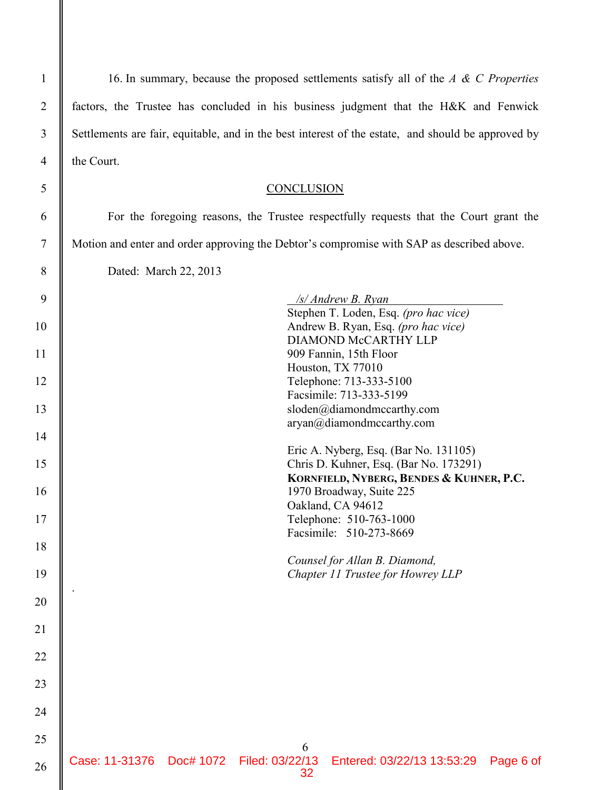16. In summary, because the proposed settlements satisfy all of the *A & C Properties* factors, the Trustee has concluded in his business judgment that the H&K and Fenwick Settlements are fair, equitable, and in the best interest of the estate, and should be approved by the Court.

# **CONCLUSION**

For the foregoing reasons, the Trustee respectfully requests that the Court grant the Motion and enter and order approving the Debtor's compromise with SAP as described above.

Dated: March 22, 2013

| 9  |                |                                 | /s/ Andrew B. Ryan                                 |           |
|----|----------------|---------------------------------|----------------------------------------------------|-----------|
|    |                |                                 | Stephen T. Loden, Esq. (pro hac vice)              |           |
| 10 |                |                                 | Andrew B. Ryan, Esq. (pro hac vice)                |           |
|    |                |                                 | DIAMOND McCARTHY LLP                               |           |
| 11 |                |                                 | 909 Fannin, 15th Floor                             |           |
|    |                |                                 | Houston, TX 77010                                  |           |
| 12 |                |                                 | Telephone: 713-333-5100                            |           |
|    |                |                                 | Facsimile: 713-333-5199                            |           |
| 13 |                |                                 | sloden@diamondmccarthy.com                         |           |
|    |                |                                 | aryan@diamondmccarthy.com                          |           |
| 14 |                |                                 |                                                    |           |
|    |                |                                 | Eric A. Nyberg, Esq. (Bar No. 131105)              |           |
| 15 |                |                                 | Chris D. Kuhner, Esq. (Bar No. 173291)             |           |
|    |                |                                 | KORNFIELD, NYBERG, BENDES & KUHNER, P.C.           |           |
| 16 |                |                                 | 1970 Broadway, Suite 225                           |           |
|    |                |                                 | Oakland, CA 94612                                  |           |
| 17 |                |                                 | Telephone: 510-763-1000<br>Facsimile: 510-273-8669 |           |
| 18 |                |                                 |                                                    |           |
|    |                |                                 | Counsel for Allan B. Diamond,                      |           |
| 19 |                |                                 | Chapter 11 Trustee for Howrey LLP                  |           |
|    |                |                                 |                                                    |           |
| 20 |                |                                 |                                                    |           |
|    |                |                                 |                                                    |           |
| 21 |                |                                 |                                                    |           |
|    |                |                                 |                                                    |           |
| 22 |                |                                 |                                                    |           |
|    |                |                                 |                                                    |           |
| 23 |                |                                 |                                                    |           |
|    |                |                                 |                                                    |           |
| 24 |                |                                 |                                                    |           |
|    |                |                                 |                                                    |           |
| 25 |                | 6                               |                                                    |           |
| 26 | Case: 11-31376 | Doc# 1072 Filed: 03/22/13<br>32 | Entered: 03/22/13 13:53:29                         | Page 6 of |
|    |                |                                 |                                                    |           |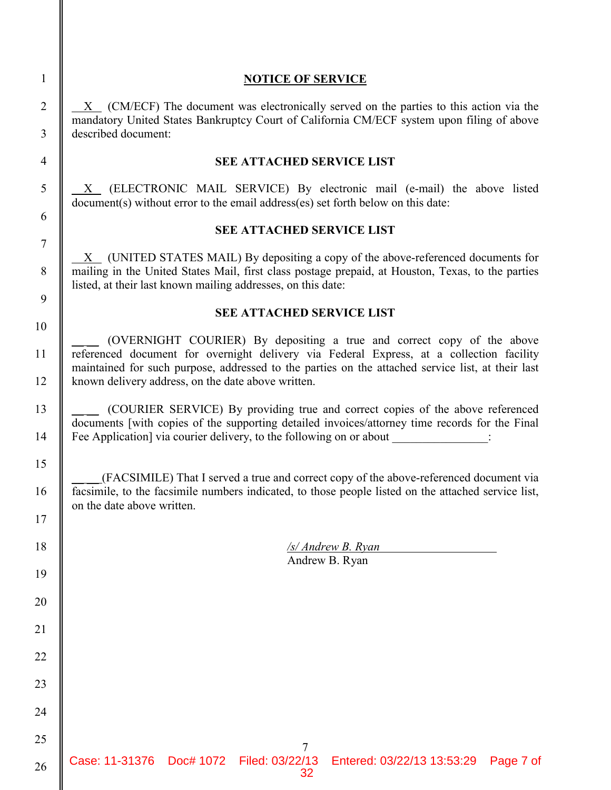# **NOTICE OF SERVICE**

 X (CM/ECF) The document was electronically served on the parties to this action via the mandatory United States Bankruptcy Court of California CM/ECF system upon filing of above described document:

## **SEE ATTACHED SERVICE LIST**

X (ELECTRONIC MAIL SERVICE) By electronic mail (e-mail) the above listed document(s) without error to the email address(es) set forth below on this date:

# **SEE ATTACHED SERVICE LIST**

 $X$  (UNITED STATES MAIL) By depositing a copy of the above-referenced documents for mailing in the United States Mail, first class postage prepaid, at Houston, Texas, to the parties listed, at their last known mailing addresses, on this date:

# **SEE ATTACHED SERVICE LIST**

\_\_ \_\_ (OVERNIGHT COURIER) By depositing a true and correct copy of the above referenced document for overnight delivery via Federal Express, at a collection facility maintained for such purpose, addressed to the parties on the attached service list, at their last known delivery address, on the date above written.

\_\_ \_\_ (COURIER SERVICE) By providing true and correct copies of the above referenced documents [with copies of the supporting detailed invoices/attorney time records for the Final Fee Application] via courier delivery, to the following on or about  $\therefore$ 

\_\_ \_\_ (FACSIMILE) That I served a true and correct copy of the above-referenced document via facsimile, to the facsimile numbers indicated, to those people listed on the attached service list, on the date above written.

| $\sqrt{s}/$ Andrew B. Ryan |  |
|----------------------------|--|
| Andrew B. Ryan             |  |

1

2

3

4

5

6

7

8

26

25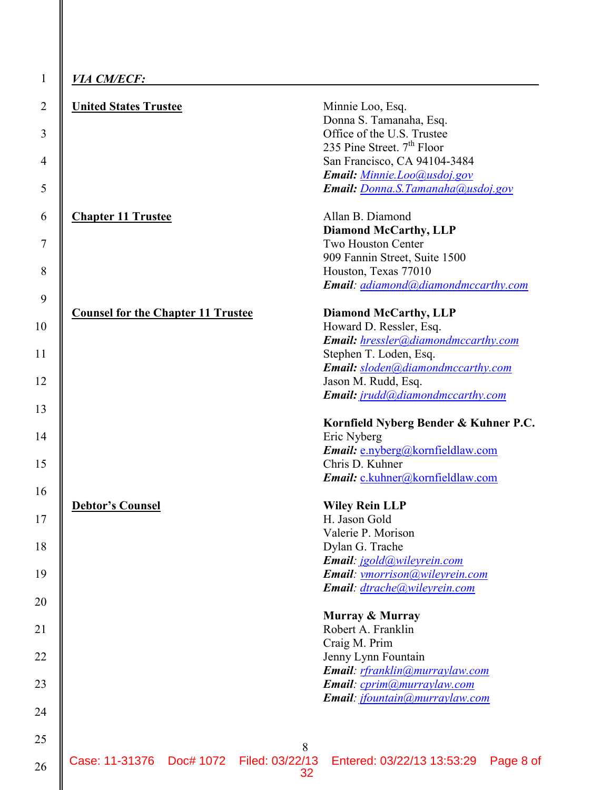| <i>VIA CM/ECF:</i>                             |                                                                      |
|------------------------------------------------|----------------------------------------------------------------------|
| <b>United States Trustee</b>                   | Minnie Loo, Esq.                                                     |
|                                                | Donna S. Tamanaha, Esq.                                              |
|                                                | Office of the U.S. Trustee<br>235 Pine Street. 7 <sup>th</sup> Floor |
|                                                | San Francisco, CA 94104-3484                                         |
|                                                | Email: Minnie.Loo@usdoj.gov                                          |
|                                                | Email: Donna.S.Tamanaha@usdoj.gov                                    |
| <b>Chapter 11 Trustee</b>                      | Allan B. Diamond                                                     |
|                                                | <b>Diamond McCarthy, LLP</b>                                         |
|                                                | Two Houston Center                                                   |
|                                                | 909 Fannin Street, Suite 1500                                        |
|                                                | Houston, Texas 77010                                                 |
|                                                | Email: adiamond@diamondmccarthy.com                                  |
| <b>Counsel for the Chapter 11 Trustee</b>      | <b>Diamond McCarthy, LLP</b>                                         |
|                                                | Howard D. Ressler, Esq.                                              |
|                                                | Email: hressler@diamondmccarthy.com                                  |
|                                                | Stephen T. Loden, Esq.                                               |
|                                                | Email: sloden@diamondmccarthy.com                                    |
|                                                | Jason M. Rudd, Esq.                                                  |
|                                                | Email: jrudd@diamondmccarthy.com                                     |
|                                                | Kornfield Nyberg Bender & Kuhner P.C.                                |
|                                                | Eric Nyberg                                                          |
|                                                | Email: e.nyberg@kornfieldlaw.com                                     |
|                                                | Chris D. Kuhner                                                      |
|                                                | Email: c.kuhner@kornfieldlaw.com                                     |
| Debtor's Counsel                               | <b>Wiley Rein LLP</b>                                                |
|                                                | H. Jason Gold                                                        |
|                                                | Valerie P. Morison                                                   |
|                                                | Dylan G. Trache                                                      |
|                                                | Email: jgold@wileyrein.com                                           |
|                                                | Email: vmorrison@wileyrein.com<br>Email: dtrache@wileyrein.com       |
|                                                |                                                                      |
|                                                | <b>Murray &amp; Murray</b><br>Robert A. Franklin                     |
|                                                | Craig M. Prim                                                        |
|                                                | Jenny Lynn Fountain                                                  |
|                                                | Email: rfranklin(@murraylaw.com                                      |
|                                                | Email: cprim@murraylaw.com                                           |
|                                                | Email: jfountain@murraylaw.com                                       |
|                                                |                                                                      |
|                                                |                                                                      |
|                                                | 8                                                                    |
|                                                | Page 8 of                                                            |
| Case: 11-31376    Doc# 1072    Filed: 03/22/13 | Entered: 03/22/13 13:53:29<br>32                                     |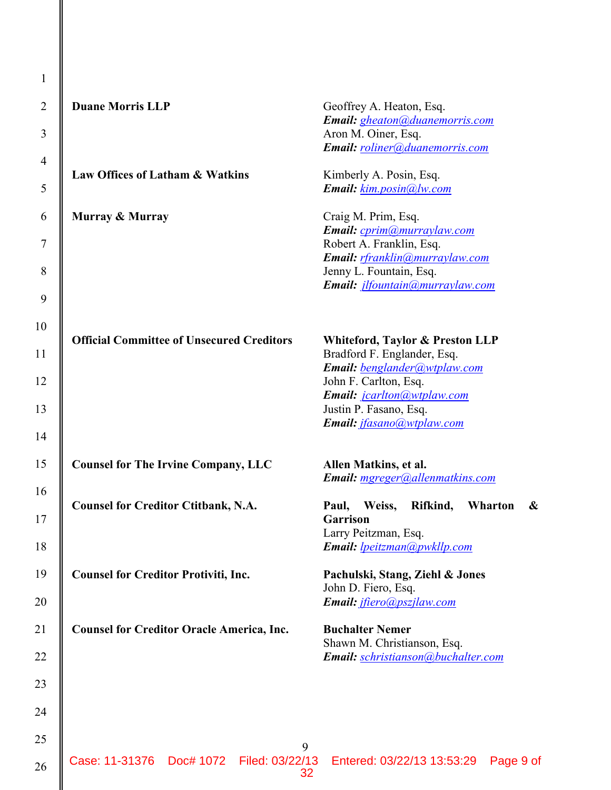| 1              |                                                  |                                                             |
|----------------|--------------------------------------------------|-------------------------------------------------------------|
| $\overline{2}$ | <b>Duane Morris LLP</b>                          | Geoffrey A. Heaton, Esq.<br>Email: gheaton@duanemorris.com  |
| 3              |                                                  | Aron M. Oiner, Esq.<br>Email: roliner@duanemorris.com       |
| $\overline{4}$ | Law Offices of Latham & Watkins                  | Kimberly A. Posin, Esq.                                     |
| $\mathfrak{S}$ |                                                  | Email: kim.posin@lw.com                                     |
| 6              | Murray & Murray                                  | Craig M. Prim, Esq.<br>Email: cprim@murraylaw.com           |
| 7              |                                                  | Robert A. Franklin, Esq.<br>Email: rfranklin@murraylaw.com  |
| 8              |                                                  | Jenny L. Fountain, Esq.<br>Email: jlfountain@murraylaw.com  |
| 9              |                                                  |                                                             |
| 10             | <b>Official Committee of Unsecured Creditors</b> | Whiteford, Taylor & Preston LLP                             |
| 11             |                                                  | Bradford F. Englander, Esq.<br>Email: benglander@wtplaw.com |
| 12             |                                                  | John F. Carlton, Esq.<br>Email: jcarlton@wtplaw.com         |
| 13             |                                                  | Justin P. Fasano, Esq.<br>Email: <i>jfasano@wtplaw.com</i>  |
| 14             |                                                  |                                                             |
| 15             | <b>Counsel for The Irvine Company, LLC</b>       | Allen Matkins, et al.<br>Email: mgreger@allenmatkins.com    |
| 16<br>17       | <b>Counsel for Creditor Ctitbank, N.A.</b>       | Weiss,<br>Rifkind,<br>Wharton<br>Paul,<br>&<br>Garrison     |
| 18             |                                                  | Larry Peitzman, Esq.<br>Email: <b>lpeitzman@pwkllp.com</b>  |
| 19             | <b>Counsel for Creditor Protiviti, Inc.</b>      | Pachulski, Stang, Ziehl & Jones<br>John D. Fiero, Esq.      |
| 20             |                                                  | Email: jfiero@pszjlaw.com                                   |
| 21             | <b>Counsel for Creditor Oracle America, Inc.</b> | <b>Buchalter Nemer</b><br>Shawn M. Christianson, Esq.       |
| 22             |                                                  | Email: schristianson@buchalter.com                          |
| 23             |                                                  |                                                             |
| 24             |                                                  |                                                             |
| 25             | 9                                                |                                                             |

II

Case: 11-31376 Doc# 1072 Filed: 03/22/13 Entered: 03/22/13 13:53:29 Page 9 of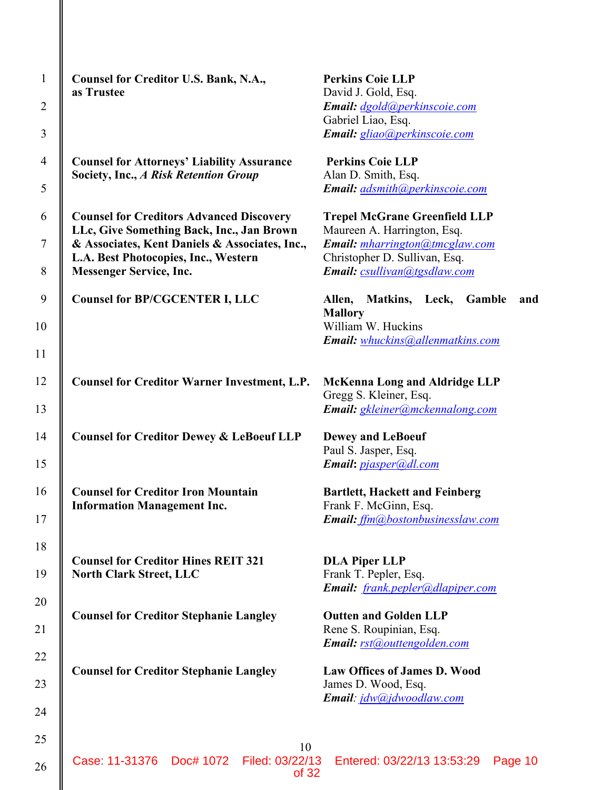| $\mathbf{1}$   | Counsel for Creditor U.S. Bank, N.A.,<br>as Trustee                                          | <b>Perkins Coie LLP</b><br>David J. Gold, Esq.                      |
|----------------|----------------------------------------------------------------------------------------------|---------------------------------------------------------------------|
| $\overline{2}$ |                                                                                              | <b>Email:</b> dgold@perkinscoie.com                                 |
| 3              |                                                                                              | Gabriel Liao, Esq.<br><b>Email:</b> gliao@perkinscoie.com           |
| $\overline{4}$ | <b>Counsel for Attorneys' Liability Assurance</b><br>Society, Inc., A Risk Retention Group   | <b>Perkins Coie LLP</b><br>Alan D. Smith, Esq.                      |
| 5              |                                                                                              | Email: adsmith@perkinscoie.com                                      |
| 6              | <b>Counsel for Creditors Advanced Discovery</b><br>LLc, Give Something Back, Inc., Jan Brown | <b>Trepel McGrane Greenfield LLP</b><br>Maureen A. Harrington, Esq. |
| $\tau$         | & Associates, Kent Daniels & Associates, Inc.,<br>L.A. Best Photocopies, Inc., Western       | Email: mharrington@tmcglaw.com<br>Christopher D. Sullivan, Esq.     |
| 8              | <b>Messenger Service, Inc.</b>                                                               | Email: csullivan@tgsdlaw.com                                        |
| 9              | <b>Counsel for BP/CGCENTER I, LLC</b>                                                        | Matkins,<br>Allen,<br>Leck,<br>Gamble<br>and<br><b>Mallory</b>      |
| 10             |                                                                                              | William W. Huckins<br>Email: whuckins@allenmatkins.com              |
| 11             |                                                                                              |                                                                     |
| 12             | <b>Counsel for Creditor Warner Investment, L.P.</b>                                          | <b>McKenna Long and Aldridge LLP</b><br>Gregg S. Kleiner, Esq.      |
| 13             |                                                                                              | Email: gkleiner@mckennalong.com                                     |
| 14             | <b>Counsel for Creditor Dewey &amp; LeBoeuf LLP</b>                                          | <b>Dewey and LeBoeuf</b>                                            |
| 15             |                                                                                              | Paul S. Jasper, Esq.<br>Email: pjasper@dl.com                       |
| 16             | <b>Counsel for Creditor Iron Mountain</b>                                                    | <b>Bartlett, Hackett and Feinberg</b>                               |
| 17             | <b>Information Management Inc.</b>                                                           | Frank F. McGinn, Esq.<br>Email: ffm@bostonbusinesslaw.com           |
| 18             |                                                                                              |                                                                     |
| 19             | <b>Counsel for Creditor Hines REIT 321</b><br><b>North Clark Street, LLC</b>                 | <b>DLA Piper LLP</b><br>Frank T. Pepler, Esq.                       |
|                |                                                                                              | Email: frank.pepler@dlapiper.com                                    |
| 20             | <b>Counsel for Creditor Stephanie Langley</b>                                                | <b>Outten and Golden LLP</b>                                        |
| 21             |                                                                                              | Rene S. Roupinian, Esq.<br>Email: rst@outtengolden.com              |
| 22             | <b>Counsel for Creditor Stephanie Langley</b>                                                | <b>Law Offices of James D. Wood</b>                                 |
| 23             |                                                                                              | James D. Wood, Esq.<br><b>Email</b> : jdw@jdwoodlaw.com             |
| 24             |                                                                                              |                                                                     |
| 25             | 10                                                                                           |                                                                     |
| 26             | Case: 11-31376 Doc# 1072<br>Filed: 03/22/13<br>of 32                                         | Entered: 03/22/13 13:53:29<br>Page 10                               |

║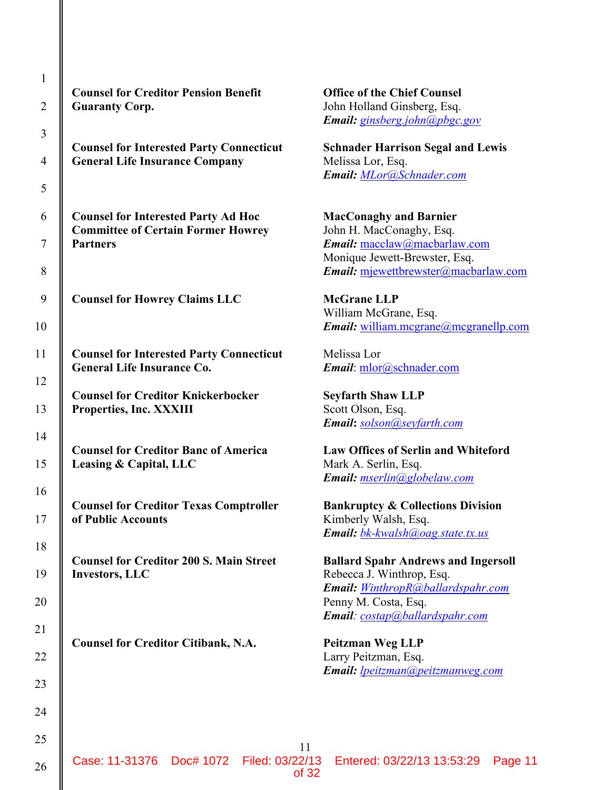| $\mathbf{1}$   |                                                               |
|----------------|---------------------------------------------------------------|
| $\overline{c}$ | <b>Counsel for Creditor I</b><br><b>Guaranty Corp.</b>        |
| 3              |                                                               |
| 4              | <b>Counsel for Interested</b><br><b>General Life Insuranc</b> |
| 5              |                                                               |
| 6              | <b>Counsel for Interested</b><br><b>Committee of Certain</b>  |
| $\overline{7}$ | <b>Partners</b>                                               |
| 8              |                                                               |
| 9              | <b>Counsel for Howrey C</b>                                   |
| 10             |                                                               |
| 11             | <b>Counsel for Interested</b><br><b>General Life Insuranc</b> |
| 12             |                                                               |
| 13             | <b>Counsel for Creditor I</b><br>Properties, Inc. XXXI        |
| 14             |                                                               |
| 15             | <b>Counsel for Creditor I</b><br>Leasing & Capital, LL        |
| 16             | <b>Counsel for Creditor 7</b>                                 |
| 17             | of Public Accounts                                            |
| 18             |                                                               |
| 19             | <b>Counsel for Creditor 2</b><br><b>Investors, LLC</b>        |
| 20             |                                                               |
| 21             |                                                               |
| 22             | <b>Counsel for Creditor 0</b>                                 |
| 23             |                                                               |
| 24             |                                                               |
| 25             |                                                               |
|                |                                                               |

**Pension Benefit Counsel Counsel Counsel** John Holland Ginsberg, Esq. *Email: ginsberg.john@pbgc.gov*

**Party Connecticut Schnader Harrison Segal and Lewis e Company** Melissa Lor, Esq. *Email: MLor@Schnader.com*

**Party Ad Hoc MacConaghy and Barnier Former Howrey** John H. MacConaghy, Esq. *Email:* macclaw@macbarlaw.com Monique Jewett-Brewster, Esq. *Email:* mjewettbrewster@macbarlaw.com

**Counsel for Howrey Claims LLC McGrane LLP** William McGrane, Esq. *Email:* william.mcgrane@mcgranellp.com

Party Connecticut Melissa Lor **Email**: mlor@schnader.com

**Counsel for Creditor Knickerbocker Seyfarth Shaw LLP Properties** Scott Olson, Esq. *Email***:** *solson@seyfarth.com*

**Counsel For Creditor Credits** Eaw Offices of Serlin and Whiteford **Lease Capital, Capital, Capital, Capital, Capital, Capital, Capital, Capital, Capital, Capital, Capital, Capital, Capital, Capital, Capital, Capital, Capital, Capital, Capital, Capital, Capital, Capital, Capital, Capital,** *Email: mserlin@globelaw.com*

**COUNTER FOR CONSERVANT CONSERVANT IS EXABLE TEXAS COMPTROLLER Bankruptcy & Collections Division** Kimberly Walsh, Esq. *Email: bk-kwalsh@oag.state.tx.us*

**COO S. Main Street Ballard Spahr Andrews and Ingersoll** Rebecca J. Winthrop, Esq. *Email: WinthropR@ballardspahr.com* Penny M. Costa, Esq. *Email: costap@ballardspahr.com*

Citibank, N.A. **Peitzman Weg LLP** Larry Peitzman, Esq. *Email: lpeitzman@peitzmanweg.com*

11

of 32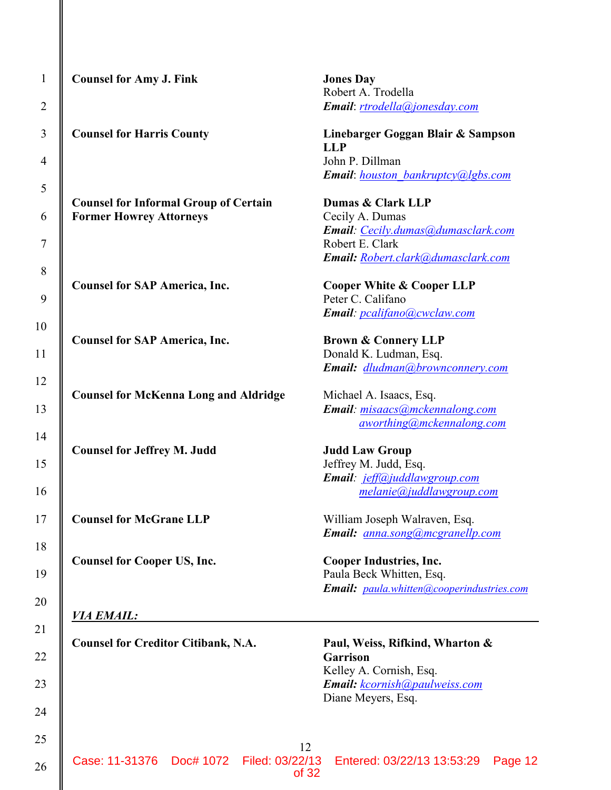12 **Counsel for Amy J. Fink Jones Day** Robert A. Trodella **Counsel for Harris County Linebarger Goggan Blair & Sampson LLP** John P. Dillman **Counsel for Informal Group of Certain Dumas & Clark LLP Former Howrey Attorneys** Cecily A. Dumas Robert E. Clark **Counsel for SAP America, Inc. Cooper White & Cooper LLP** Peter C. Califano **Counsel for SAP America, Inc. Brown & Connery LLP Counsel for McKenna Long and Aldridge Michael A. Isaacs, Esq. Counsel for Jeffrey M. Judd Judd Law Group Counsel for McGrane LLP** William Joseph Walraven, Esq. **Counsel for Cooper US, Inc. Cooper Industries, Inc.** *VIA EMAIL:* **Counsel for Creditor Citibank, N.A. Paul, Weiss, Rifkind, Wharton & Garrison** Diane Meyers, Esq. Case: 11-31376 Doc# 1072 Filed: 03/22/13 Entered: 03/22/13 13:53:29 Page 12

*Email*: *rtrodella@jonesday.com*

*Email*: *houston\_bankruptcy@lgbs.com*

*Email: Cecily.dumas@dumasclark.com Email: Robert.clark@dumasclark.com*

*Email: pcalifano@cwclaw.com*

Donald K. Ludman, Esq. *Email: dludman@brownconnery.com*

*Email: misaacs@mckennalong.com aworthing@mckennalong.com*

Jeffrey M. Judd, Esq. *Email: jeff@juddlawgroup.com melanie@juddlawgroup.com*

 *Email: anna.song@mcgranellp.com*

Paula Beck Whitten, Esq. *Email: paula.whitten@cooperindustries.com*

Kelley A. Cornish, Esq. *Email: kcornish@paulweiss.com*

of 32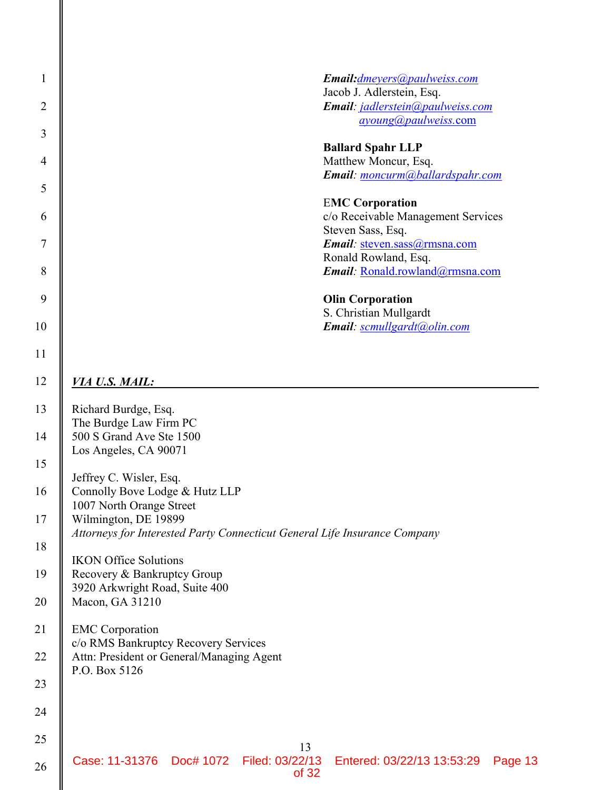| $\mathbf{1}$   | Email: dmeyers @paulweiss.com                                                                     |
|----------------|---------------------------------------------------------------------------------------------------|
| $\overline{2}$ | Jacob J. Adlerstein, Esq.<br>Email: jadlerstein@paulweiss.com                                     |
|                | ayoung@paulweiss.com                                                                              |
| 3              | <b>Ballard Spahr LLP</b>                                                                          |
| $\overline{4}$ | Matthew Moncur, Esq.                                                                              |
| 5              | Email: moncurm@ballardspahr.com                                                                   |
|                | <b>EMC Corporation</b>                                                                            |
| 6              | c/o Receivable Management Services<br>Steven Sass, Esq.                                           |
| 7              | Email: steven.sass@rmsna.com                                                                      |
|                | Ronald Rowland, Esq.                                                                              |
| 8              | Email: Ronald.rowland@rmsna.com                                                                   |
| 9              | <b>Olin Corporation</b>                                                                           |
| 10             | S. Christian Mullgardt<br>Email: scmullgardt@olin.com                                             |
|                |                                                                                                   |
| 11             |                                                                                                   |
| 12             | <u>VIA U.S. MAIL:</u>                                                                             |
| 13             | Richard Burdge, Esq.                                                                              |
|                | The Burdge Law Firm PC                                                                            |
| 14             | 500 S Grand Ave Ste 1500<br>Los Angeles, CA 90071                                                 |
| 15             |                                                                                                   |
| 16             | Jeffrey C. Wisler, Esq.<br>Connolly Bove Lodge & Hutz LLP                                         |
|                | 1007 North Orange Street                                                                          |
| 17             | Wilmington, DE 19899<br>Attorneys for Interested Party Connecticut General Life Insurance Company |
| 18             |                                                                                                   |
| 19             | <b>IKON Office Solutions</b><br>Recovery & Bankruptcy Group                                       |
|                | 3920 Arkwright Road, Suite 400                                                                    |
| 20             | Macon, GA 31210                                                                                   |
| 21             | <b>EMC</b> Corporation                                                                            |
| 22             | c/o RMS Bankruptcy Recovery Services<br>Attn: President or General/Managing Agent                 |
|                | P.O. Box 5126                                                                                     |
| 23             |                                                                                                   |
| 24             |                                                                                                   |
| 25             |                                                                                                   |
| 26             | 13<br>Case: 11-31376 Doc# 1072 Filed: 03/22/13<br>Entered: 03/22/13 13:53:29<br>Page 13<br>of 32  |

II

∥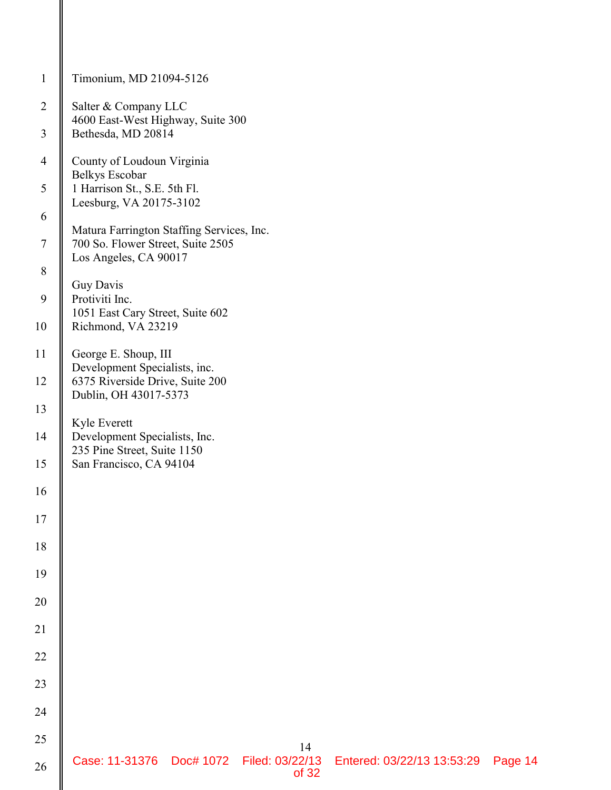| $\mathbf{1}$   | Timonium, MD 21094-5126                                                                                |
|----------------|--------------------------------------------------------------------------------------------------------|
| $\overline{2}$ | Salter & Company LLC<br>4600 East-West Highway, Suite 300                                              |
| $\mathfrak{Z}$ | Bethesda, MD 20814                                                                                     |
| $\overline{4}$ | County of Loudoun Virginia<br>Belkys Escobar                                                           |
| 5              | 1 Harrison St., S.E. 5th Fl.<br>Leesburg, VA 20175-3102                                                |
| 6              | Matura Farrington Staffing Services, Inc.                                                              |
| $\tau$         | 700 So. Flower Street, Suite 2505<br>Los Angeles, CA 90017                                             |
| 8<br>9         | Guy Davis<br>Protiviti Inc.                                                                            |
| 10             | 1051 East Cary Street, Suite 602<br>Richmond, VA 23219                                                 |
| 11             | George E. Shoup, III                                                                                   |
| 12             | Development Specialists, inc.<br>6375 Riverside Drive, Suite 200                                       |
| 13             | Dublin, OH 43017-5373                                                                                  |
| 14             | Kyle Everett<br>Development Specialists, Inc.<br>235 Pine Street, Suite 1150                           |
| 15             | San Francisco, CA 94104                                                                                |
| 16             |                                                                                                        |
| 17             |                                                                                                        |
| 18             |                                                                                                        |
| 19             |                                                                                                        |
| 20             |                                                                                                        |
| 21             |                                                                                                        |
| 22<br>23       |                                                                                                        |
| 24             |                                                                                                        |
| 25             |                                                                                                        |
| 26             | 14<br>Case: 11-31376    Doc# 1072    Filed: 03/22/13<br>Entered: 03/22/13 13:53:29<br>Page 14<br>of 32 |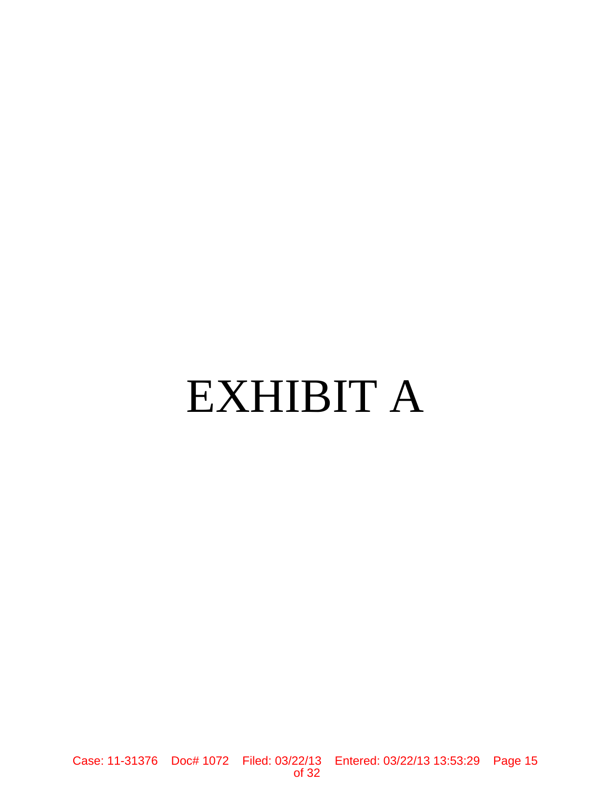# EXHIBIT A

Case: 11-31376 Doc# 1072 Filed: 03/22/13 Entered: 03/22/13 13:53:29 Page 15 of 32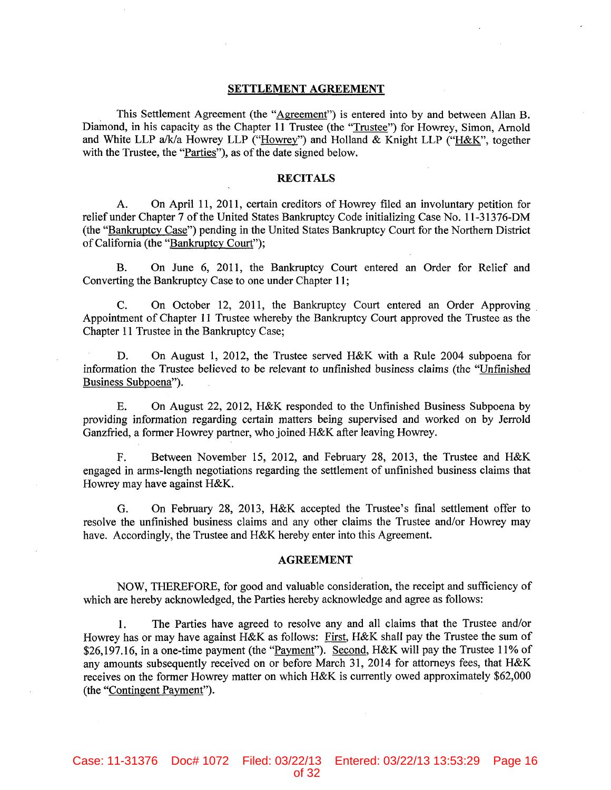#### **SETTLEMENT AGREEMENT**

This Settlement Agreement (the "Agreement") is entered into by and between Allan B. Diamond, in his capacity as the Chapter 11 Trustee (the "Trustee") for Howrey, Simon, Arnold and White LLP a/k/a Howrey LLP ("Howrey") and Holland & Knight LLP ("H&K", together with the Trustee, the "Parties"), as of the date signed below.

#### **RECITALS**

On April 11, 2011, certain creditors of Howrey filed an involuntary petition for A. relief under Chapter 7 of the United States Bankruptcy Code initializing Case No. 11-31376-DM (the "Bankruptcy Case") pending in the United States Bankruptcy Court for the Northern District of California (the "Bankruptcy Court");

On June 6, 2011, the Bankruptcy Court entered an Order for Relief and B. Converting the Bankruptcy Case to one under Chapter 11;

 $C_{\star}$ On October 12, 2011, the Bankruptcy Court entered an Order Approving Appointment of Chapter 11 Trustee whereby the Bankruptcy Court approved the Trustee as the Chapter 11 Trustee in the Bankruptcy Case;

D. On August 1, 2012, the Trustee served H&K with a Rule 2004 subpoena for information the Trustee believed to be relevant to unfinished business claims (the "Unfinished Business Subpoena").

On August 22, 2012, H&K responded to the Unfinished Business Subpoena by  $E_{\star}$ providing information regarding certain matters being supervised and worked on by Jerrold Ganzfried, a former Howrey partner, who joined H&K after leaving Howrey.

F. Between November 15, 2012, and February 28, 2013, the Trustee and H&K engaged in arms-length negotiations regarding the settlement of unfinished business claims that Howrey may have against H&K.

On February 28, 2013, H&K accepted the Trustee's final settlement offer to G. resolve the unfinished business claims and any other claims the Trustee and/or Howrey may have. Accordingly, the Trustee and H&K hereby enter into this Agreement.

#### **AGREEMENT**

NOW, THEREFORE, for good and valuable consideration, the receipt and sufficiency of which are hereby acknowledged, the Parties hereby acknowledge and agree as follows:

The Parties have agreed to resolve any and all claims that the Trustee and/or  $1_{\odot}$ Howrey has or may have against H&K as follows: First, H&K shall pay the Trustee the sum of \$26,197.16, in a one-time payment (the "Payment"). Second, H&K will pay the Trustee 11% of any amounts subsequently received on or before March 31, 2014 for attorneys fees, that H&K receives on the former Howrey matter on which H&K is currently owed approximately \$62,000 (the "Contingent Payment").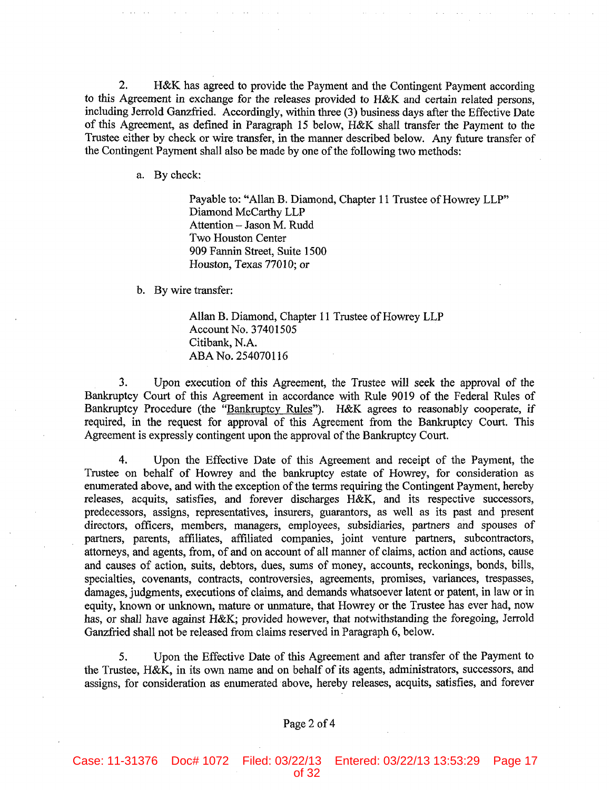$2.$ H&K has agreed to provide the Payment and the Contingent Payment according to this Agreement in exchange for the releases provided to H&K and certain related persons, including Jerrold Ganzfried. Accordingly, within three (3) business days after the Effective Date of this Agreement, as defined in Paragraph 15 below, H&K shall transfer the Payment to the Trustee either by check or wire transfer, in the manner described below. Any future transfer of the Contingent Payment shall also be made by one of the following two methods:

a. By check:

Payable to: "Allan B. Diamond, Chapter 11 Trustee of Howrey LLP" Diamond McCarthy LLP Attention - Jason M. Rudd Two Houston Center 909 Fannin Street, Suite 1500 Houston, Texas 77010; or

b. By wire transfer:

Allan B. Diamond, Chapter 11 Trustee of Howrey LLP Account No. 37401505 Citibank, N.A. ABA No. 254070116

3. Upon execution of this Agreement, the Trustee will seek the approval of the Bankruptcy Court of this Agreement in accordance with Rule 9019 of the Federal Rules of Bankruptcy Procedure (the "Bankruptcy Rules"). H&K agrees to reasonably cooperate, if required, in the request for approval of this Agreement from the Bankruptcy Court. This Agreement is expressly contingent upon the approval of the Bankruptcy Court.

4. Upon the Effective Date of this Agreement and receipt of the Payment, the Trustee on behalf of Howrey and the bankruptcy estate of Howrey, for consideration as enumerated above, and with the exception of the terms requiring the Contingent Payment, hereby releases, acquits, satisfies, and forever discharges H&K, and its respective successors, predecessors, assigns, representatives, insurers, guarantors, as well as its past and present directors, officers, members, managers, employees, subsidiaries, partners and spouses of partners, parents, affiliates, affiliated companies, joint venture partners, subcontractors, attorneys, and agents, from, of and on account of all manner of claims, action and actions, cause and causes of action, suits, debtors, dues, sums of money, accounts, reckonings, bonds, bills, specialties, covenants, contracts, controversies, agreements, promises, variances, trespasses, damages, judgments, executions of claims, and demands whatsoever latent or patent, in law or in equity, known or unknown, mature or unmature, that Howrey or the Trustee has ever had, now has, or shall have against H&K; provided however, that notwithstanding the foregoing, Jerrold Ganzfried shall not be released from claims reserved in Paragraph 6, below.

Upon the Effective Date of this Agreement and after transfer of the Payment to  $5<sub>1</sub>$ the Trustee, H&K, in its own name and on behalf of its agents, administrators, successors, and assigns, for consideration as enumerated above, hereby releases, acquits, satisfies, and forever

### Page 2 of 4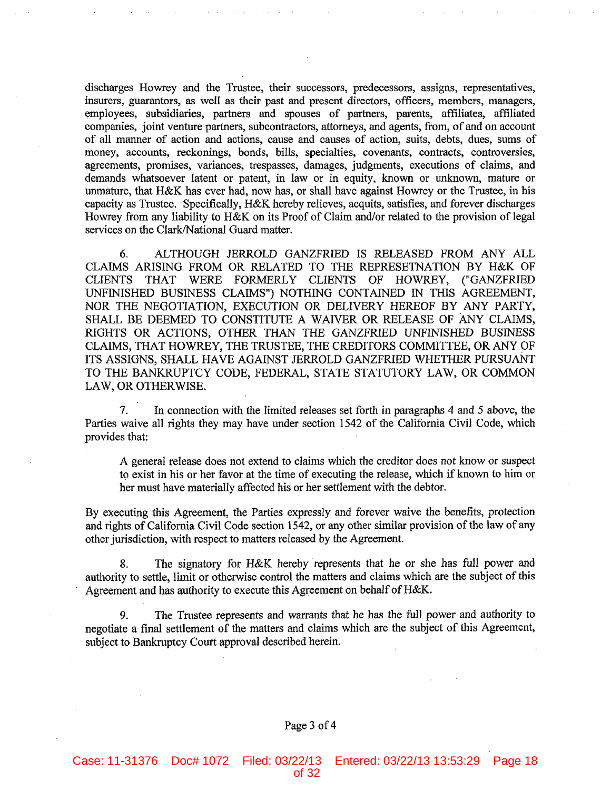discharges Howrey and the Trustee, their successors, predecessors, assigns, representatives, insurers, guarantors, as well as their past and present directors, officers, members, managers, employees, subsidiaries, partners and spouses of partners, parents, affiliates, affiliated companies, joint venture partners, subcontractors, attorneys, and agents, from, of and on account of all manner of action and actions, cause and causes of action, suits, debts, dues, sums of money, accounts, reckonings, bonds, bills, specialties, covenants, contracts, controversies, agreements, promises, variances, trespasses, damages, judgments, executions of claims, and demands whatsoever latent or patent, in law or in equity, known or unknown, mature or unmature, that H&K has ever had, now has, or shall have against Howrey or the Trustee, in his capacity as Trustee. Specifically, H&K hereby relieves, acquits, satisfies, and forever discharges Howrey from any liability to H&K on its Proof of Claim and/or related to the provision of legal services on the Clark/National Guard matter.

ALTHOUGH JERROLD GANZFRIED IS RELEASED FROM ANY ALL 6. CLAIMS ARISING FROM OR RELATED TO THE REPRESETNATION BY H&K OF CLIENTS THAT WERE FORMERLY CLIENTS OF HOWREY, ("GANZFRIED UNFINISHED BUSINESS CLAIMS") NOTHING CONTAINED IN THIS AGREEMENT, NOR THE NEGOTIATION, EXECUTION OR DELIVERY HEREOF BY ANY PARTY, SHALL BE DEEMED TO CONSTITUTE A WAIVER OR RELEASE OF ANY CLAIMS, RIGHTS OR ACTIONS, OTHER THAN THE GANZFRIED UNFINISHED BUSINESS CLAIMS, THAT HOWREY, THE TRUSTEE, THE CREDITORS COMMITTEE, OR ANY OF ITS ASSIGNS, SHALL HAVE AGAINST JERROLD GANZFRIED WHETHER PURSUANT TO THE BANKRUPTCY CODE, FEDERAL, STATE STATUTORY LAW, OR COMMON LAW, OR OTHERWISE.

 $7<sub>1</sub>$ In connection with the limited releases set forth in paragraphs 4 and 5 above, the Parties waive all rights they may have under section 1542 of the California Civil Code, which provides that:

A general release does not extend to claims which the creditor does not know or suspect to exist in his or her favor at the time of executing the release, which if known to him or her must have materially affected his or her settlement with the debtor.

By executing this Agreement, the Parties expressly and forever waive the benefits, protection and rights of California Civil Code section 1542, or any other similar provision of the law of any other jurisdiction, with respect to matters released by the Agreement.

The signatory for H&K hereby represents that he or she has full power and 8. authority to settle, limit or otherwise control the matters and claims which are the subject of this Agreement and has authority to execute this Agreement on behalf of H&K.

The Trustee represents and warrants that he has the full power and authority to 9. negotiate a final settlement of the matters and claims which are the subject of this Agreement, subject to Bankruptcy Court approval described herein.

#### Page 3 of 4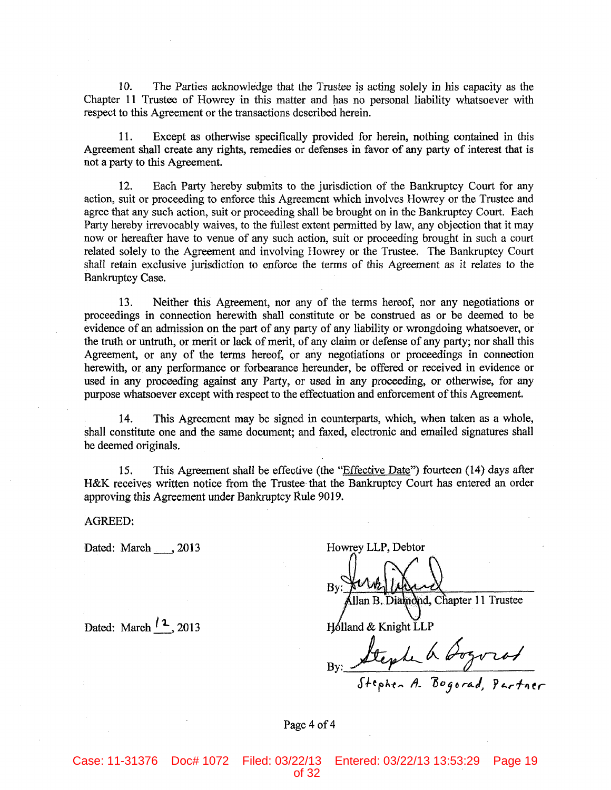$10.$ The Parties acknowledge that the Trustee is acting solely in his capacity as the Chapter 11 Trustee of Howrey in this matter and has no personal liability whatsoever with respect to this Agreement or the transactions described herein.

11. Except as otherwise specifically provided for herein, nothing contained in this Agreement shall create any rights, remedies or defenses in favor of any party of interest that is not a party to this Agreement.

 $12.$ Each Party hereby submits to the jurisdiction of the Bankruptcy Court for any action, suit or proceeding to enforce this Agreement which involves Howrey or the Trustee and agree that any such action, suit or proceeding shall be brought on in the Bankruptcy Court. Each Party hereby irrevocably waives, to the fullest extent permitted by law, any objection that it may now or hereafter have to venue of any such action, suit or proceeding brought in such a court related solely to the Agreement and involving Howrey or the Trustee. The Bankruptcy Court shall retain exclusive jurisdiction to enforce the terms of this Agreement as it relates to the Bankruptcy Case.

Neither this Agreement, nor any of the terms hereof, nor any negotiations or 13. proceedings in connection herewith shall constitute or be construed as or be deemed to be evidence of an admission on the part of any party of any liability or wrongdoing whatsoever, or the truth or untruth, or merit or lack of merit, of any claim or defense of any party; nor shall this Agreement, or any of the terms hereof, or any negotiations or proceedings in connection herewith, or any performance or forbearance hereunder, be offered or received in evidence or used in any proceeding against any Party, or used in any proceeding, or otherwise, for any purpose whatsoever except with respect to the effectuation and enforcement of this Agreement.

This Agreement may be signed in counterparts, which, when taken as a whole, 14. shall constitute one and the same document; and faxed, electronic and emailed signatures shall be deemed originals.

This Agreement shall be effective (the "Effective Date") fourteen (14) days after  $15.$ H&K receives written notice from the Trustee that the Bankruptcy Court has entered an order approving this Agreement under Bankruptcy Rule 9019.

**AGREED:** 

Dated: March , 2013

Howrey LLP, Debtor Ilan B. Diamond, Chapter 11 Trustee Holland & Knight LLP By: Stephen A Gogorad

Page 4 of 4

Dated: March  $\frac{12}{2}$ , 2013

Case: 11-31376 Doc# 1072 Filed: 03/22/13 Entered: 03/22/13 13:53:29 Page 19 of 32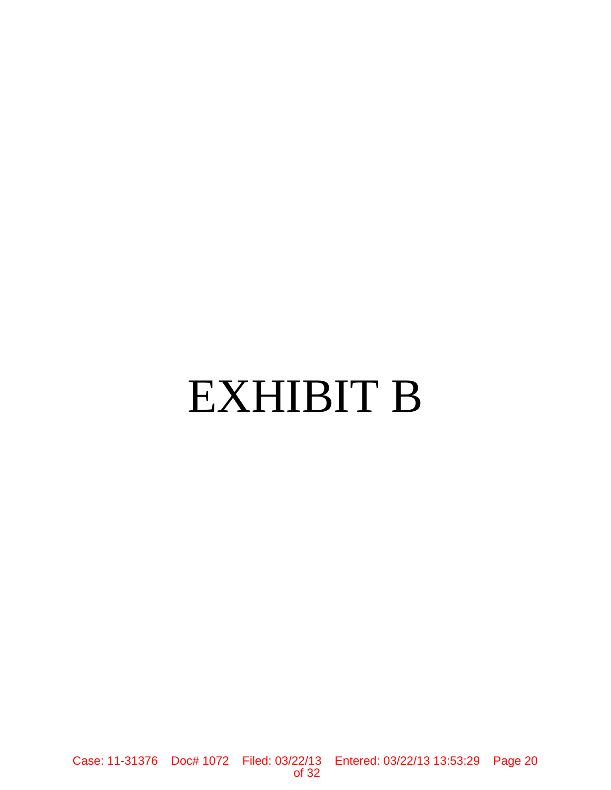# EXHIBIT B

Case: 11-31376 Doc# 1072 Filed: 03/22/13 Entered: 03/22/13 13:53:29 Page 20 of 32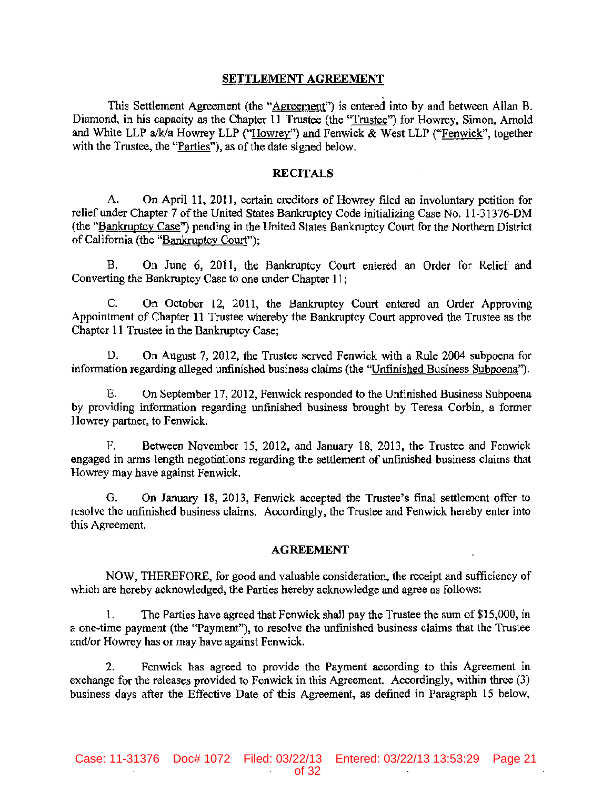## SETTLEMENT AGREEMENT

**This Settlement Agreement (the "Agreement") is entered into by and between Allan B. Diamond, in his capacity as the Chapter 11 Trustee (the "Trustee") for Howrey, Simon, Arnold**  and White LLP a/k/a Howrey LLP ("Howrey") and Fenwick & West LLP ("Fenwick", together **with the Trustee, the "Parties"), as** of the **date signed below.** 

## RECITALS

**A. On April II, 2011, certain creditors of Howrey filed an involuntary petition for**  relief under Chapter 7 of the United States Bankruptcy Code initializing Case No. 11-31376-DM (the "Bankruptcy Case") pending in the United States Bankruptcy Court for the Northern District of California (the "Bankruptcy Court");

B. On June 6, 2011, the Bankruptcy Court entered an Order for Relief and **Converting the Bankruptcy Case to one under Chapter 11;** 

C. On October 12, 2011, the Bankruptcy Court entered an Order Approving **Appointment of Chapter 11 Trustee whereby the Bankruptcy Court approved the Trustee as the Chapter 11 Trustee in the Bankruptcy Case;** 

**D. On August 7, 2012, the Trustee served Fenwick with a Rule 2004 subpoena for information regarding alleged unfinished business claims (the "Unfinished Business Subpoena").** 

E. **On September 17, 2012, Fenwick responded to the Unfinished Business Subpoena**  by providing information regarding unfinished business brought by Teresa Corbin, a former **Howrey partner. to Fenwick.** 

F. Between November 15, 2012, and January 18, 2013, the Trustee and Fenwick **engaged in arms-length negotiations regarding the settlement of unfinished business claims that Howrey may have against Fenwick.** 

**O. On January 18, 2013, Fenwick accepted the Trustee's final settlement offer to resolve the unfinished business claims. Accordingly, the Trustee and Fenwick hereby enter into this Agreement.** 

#### AGREEMENT

**NOW, THEREFORE, for good and valuable consideration, the receipt and sufficiency of which are hereby acknowledged, the Parties hereby acknowledge and agree as follows:** 

1. The Parties have agreed that Fenwick shall pay the Trustee the surn of\$15,000, in **a one-time payment (the "Payment''), to resolve the unfinished business claims that the Trustee**  and/or Howrey has or may have against Fenwick.

**2. Fenwick has agreed to provide the Payment according to this Agreement in exchange for the releases provided to Fenwick in this Agreement. Accordingly, within three (3) business days after the Effective Date of this Agreement, as defined in Paragraph 15 below,**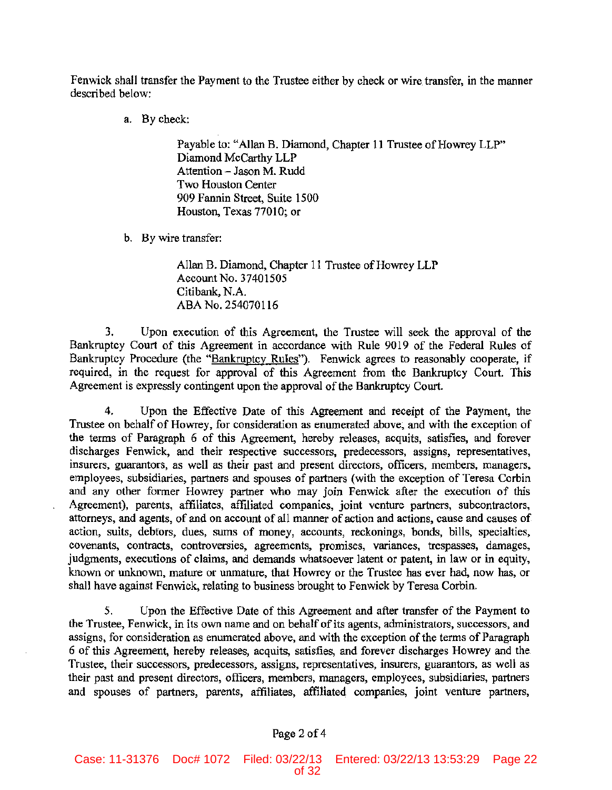Fenwick shall transfer the Payment to the Trustee either by check or wire transfer, in the manner described below:

a. By check:

Payable to: "Allan B. Diamond, Chapter II Trustee of Howrey LLP" Diamond McCarthy LLP Attention - Jason M. Rudd Two Houston Center 909 Fannin Street, Suite 1500 Houston, Texas 77010; or

b. By wire transfer:

Allan B. Diamond, Chapter 11 Trustee of Howrey LLP Account No. 37401505 Citibank, N.A. ABA No. 254070116

3. Upon execution of this Agreement, the Trustee will seek the approval of the Bankruptcy Court of this Agreement in accordance with Rule 9019 of the Federal Rules of Bankruptcy Procedure (the "Bankruptcy Rules"). Fenwick agrees to reasonably cooperate, if required, in the request for approval of this Agreement from the Bankruptcy Court. This Agreement is expressly contingent upon the approval of the Bankruptcy Court.

4. Upon the Effective Date of 1his Agreement and receipt of the Payment, the Trustee on behalf of Howrey, for consideration as enumerated above, and with the exception of the terms of Paragraph 6 of this Agreement, hereby releases, acquits, satisfies, and forever discharges Fenwick, and their respective successors, predecessors, assigns, representatives, insurers, guarantors, as well as their past and present directors, officers, members, managers, employees, subsidiaries, partners and spouses of partners (with the exception of Teresa Corbin and any other former Howrey partner who may join Fenwick after the execution of this Agreement), parents, affiliates, affiliated companies, joint venture partners, subcontractors, attorneys, and agents, of and on account of all manner of action and actions, cause and causes of action, suits, debtors, dues, sums of money, accounts, reckonings, bonds, bills, specialties, covenants, contracts. controversies. agreements, promises, variances, trespasses, damages, judgments, executions of claims, and demands whatsoever latent or patent, in law or in equity, known or unknown, mature or unmature, that Howrey or the Trustee has ever had, now has, or shall have against Fenwick, relating to business brought to Fenwick by Teresa Corbin.

5. Upon the Effective Date of this Agreement and after transfer of the Payment to the Trustee, Fenwick, in its own name and on behalf of its agents, administrators, successors, and assigns, for consideration as enumerated above, and with the exception of the terms of Paragraph 6 of this Agreement, hereby releases, acquits, satisfies, and forever discharges Howrey and the Trustee, their successors, predecessors, assigns, representatives, insurers, guarantors, as well as their past and present directors, officers, members, managers, employees, subsidiaries, partners and spouses of partners, parents, affiliates, affiliated companies, joint venture partners,

# Page 2 of 4

Case: 11-31376 Doc# 1072 Filed: 03/22/13 Entered: 03/22/13 13:53:29 Page 22 of 32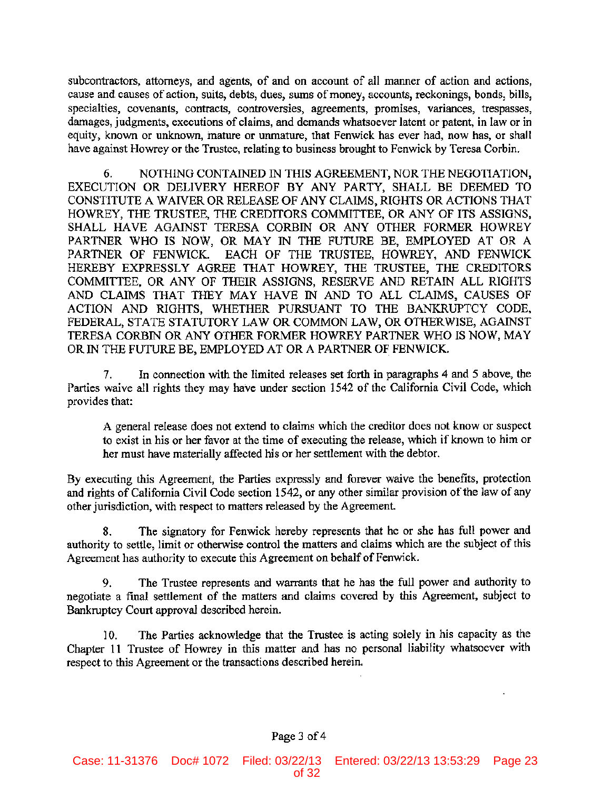subcontractors, attorneys, and agents, of and on account of all manner of action and actions, cause and causes of action, suits, debts, dues, swns of money, accounts, reckonings, bonds, bills, specialties, covenants, contracts, controversies, agreements, promises, variances, trespasses, damages, judgments, executions of claims, and demands whatsoever latent or patent, in law or in equity, known or unknown, mature or unmature, that Fenwick has ever had, now has, or shall have against Howrey or the Trustee, relating to business brought to Fenwick by Teresa Corbin.

6. NOTHING CONTAINED IN THIS AGREEMENT, NOR THE NEGOTIATION, EXECUTION OR DELIVERY HEREOF BY ANY PARTY, SHALL BE DEEMED TO CONSTITUTE A WAIVER OR RELEASE OF ANY CLAIMS, RIGHTS OR ACTIONS THAT HOWREY, THE TRUSTEE, THE CREDITORS COMMITTEE, OR ANY OF ITS ASSIGNS, SHALL HAVE AGAINST TERESA CORBIN OR ANY OTHER FORMER HOWREY PARTNER WHO IS NOW, OR MAY IN THE FUTURE BE, EMPLOYED AT OR A PARTNER OF FENWICK. EACH OF THE TRUSTEE, HOWREY, AND FENWICK HEREBY EXPRESSLY AGREE THAT HOWREY, THE TRUSTEE, THE CREDITORS COMMITTEE, OR ANY OF THEIR ASSIGNS, RESERVE AND RETAIN ALL RIGHTS AND CLAIMS THAT THEY MAY HAVE IN AND TO ALL CLAIMS, CAUSES OF ACTION AND RIGHTS, WHETHER PURSUANT TO THE BANKRUPTCY CODE, FEDERAL, STATE STATUTORY LAW OR COMMON LAW, OR OTHERWISE, AGAINST TERESA CORBIN OR ANY OTHER FORMER HOWREY PARTNER WHO IS NOW, MAY OR IN THE FUTURE BE, EMPLOYED AT OR A PARTNER OF FENWICK.

7. In connection with the limited releases set forth in paragraphs 4 and 5 above, the Parties waive all rights they may have under section 1542 of the California Civil Code, which provides that:

A general release does not extend to claims which the creditor does not know or suspect to exist in his or her favor at the time of executing the release, which if known to him or her must have materially affected his or her settlement with the debtor.

By executing this Agreement, the Parties expressly and forever waive the benefits, protection and rights of California Civil Code section 1542, or any other similar provision of the law of any other jurisdiction, with respect to matters released by the Agreement.

8. The signatory for Fenwick hereby represents that he or she has full power and authority to settle, limit or otherwise control the matters and claims which are the subject of this Agreement has authority to execute this Agreement on behalf of Fenwick.

9. The Trustee represents and warrants that he has the full power and authority to negotiate a final settlement of the matters and claims covered by this Agreement, subject to Bankruptcy Court approval described herein.

10. The Parties acknowledge that the Trustee is acting solely in his capacity as the Chapter 11 Trustee of Howrey in this matter and has no personal liability whatsoever with respect to this Agreement or the transactions described herein.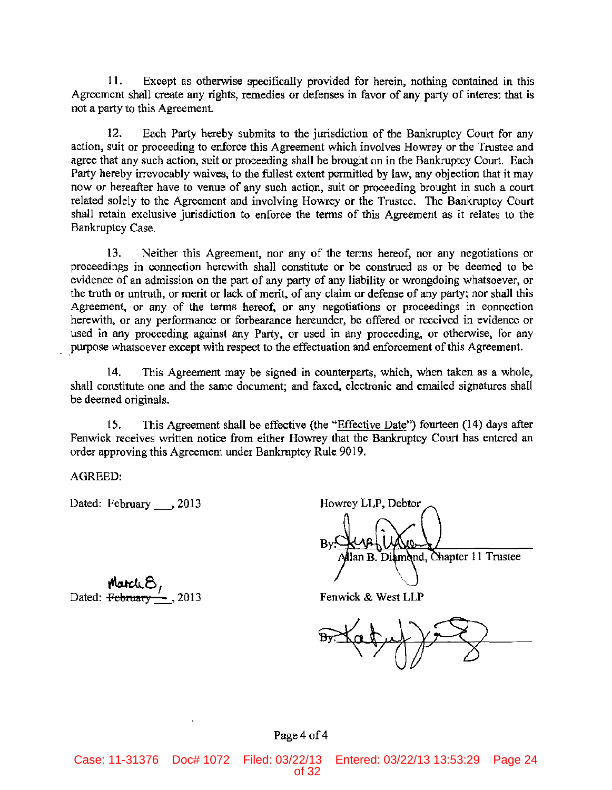11. Except as otherwise specifically provided for herein, nothing contained in this Agreement shall create any rights, remedies or defenses in favor of any party of interest that is not a party to this Agreement.

12. Each party hereby submits to the jurisdiction of the Bankruptcy Court for any action, suit or proceeding to enforce this Agreement which involves Howrey or the Trustee and agree that any such action, suit or proceeding shall be brought on in the Bankruptcy Court. Each Party hereby irrevocably waives, to the fullest extent permitted by law, any objection that it may now or hereafter have to venue of any such action, suit or proceeding brought in such a court related solely to the Agreement and involving Howrey or the Trustee. The Bankruptcy Court shall retain exclusive jurisdiction to enforce the terms of this Agreement as it relates to the Bankruptcy Case.

13. Neither this Agreement, nor any of the terms hereof, nor any negotiations or proceedings in connection herewith shall constitute or be construed as or be deemed to be evidence of an admission on the part of any party of any liability or wrongdoing whatsoever, or the truth or untruth, or merit or lack of merit, of any claim or defense of any party; nor shall this Agreement, or any of the terms hereof, or any negotiations or proceedings in connection herewith, or any performance or forbearance hereunder, be offered or received in evidence or used in any proceeding against any Party, or used in any proceeding, or otherwise, for any purpose whatsoever except with respect to the effectuation and enforcement of this Agreement.

14. This Agreement may be signed in counterparts, which, when taken as a whole, shall constitute one and the same document; and faxed, electronic and emailed signatures shall be deemed originals.

15. This Agreement shall be effective (the «Effective Date") fourteen (14) days after Fenwick receives written notice from either Howrey that the Bankruptcy Court has entered an order approving this Agreement under Bankruptcy Rule 9019.

AGREED:

Dated: February , 2013

 $\frac{\text{Match}}{\text{Dated: February}}$ 

Howrey LLP, Debtor lan B. Diamond, Chapter 11 Trustee

Fenwick & West LLP

### Page 4 of 4

Case: 11-31376 Doc# 1072 Filed: 03/22/13 Entered: 03/22/13 13:53:29 Page 24 of 32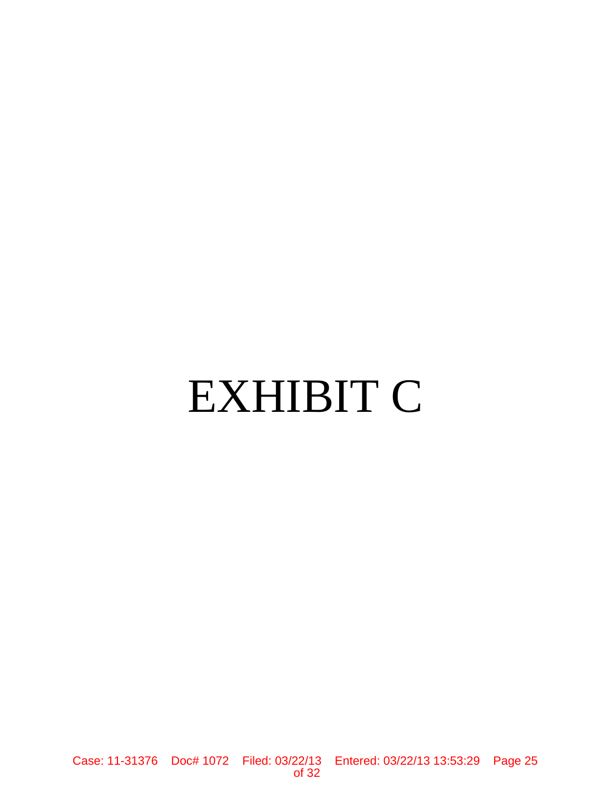# EXHIBIT C

Case: 11-31376 Doc# 1072 Filed: 03/22/13 Entered: 03/22/13 13:53:29 Page 25 of 32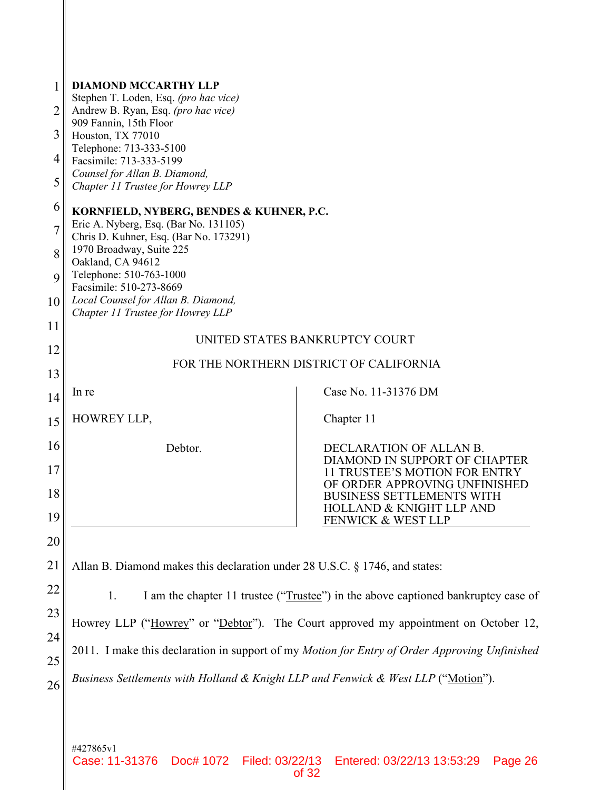| 1<br>2         | <b>DIAMOND MCCARTHY LLP</b><br>Stephen T. Loden, Esq. (pro hac vice)<br>Andrew B. Ryan, Esq. (pro hac vice) |                                                                      |  |
|----------------|-------------------------------------------------------------------------------------------------------------|----------------------------------------------------------------------|--|
| 3              | 909 Fannin, 15th Floor                                                                                      |                                                                      |  |
|                | Houston, TX 77010<br>Telephone: 713-333-5100                                                                |                                                                      |  |
| 4              | Facsimile: 713-333-5199<br>Counsel for Allan B. Diamond,                                                    |                                                                      |  |
| 5              | Chapter 11 Trustee for Howrey LLP                                                                           |                                                                      |  |
| 6              | KORNFIELD, NYBERG, BENDES & KUHNER, P.C.<br>Eric A. Nyberg, Esq. (Bar No. 131105)                           |                                                                      |  |
| $\overline{7}$ | Chris D. Kuhner, Esq. (Bar No. 173291)                                                                      |                                                                      |  |
| 8              | 1970 Broadway, Suite 225<br>Oakland, CA 94612                                                               |                                                                      |  |
| 9              | Telephone: 510-763-1000<br>Facsimile: 510-273-8669                                                          |                                                                      |  |
| 10             | Local Counsel for Allan B. Diamond,<br>Chapter 11 Trustee for Howrey LLP                                    |                                                                      |  |
| 11             |                                                                                                             |                                                                      |  |
| 12             | UNITED STATES BANKRUPTCY COURT                                                                              |                                                                      |  |
| 13             | FOR THE NORTHERN DISTRICT OF CALIFORNIA                                                                     |                                                                      |  |
| 14             | In re                                                                                                       | Case No. 11-31376 DM                                                 |  |
| 15             | HOWREY LLP,                                                                                                 | Chapter 11                                                           |  |
| 16             | Debtor.                                                                                                     | DECLARATION OF ALLAN B.                                              |  |
| 17             |                                                                                                             | DIAMOND IN SUPPORT OF CHAPTER<br>11 TRUSTEE'S MOTION FOR ENTRY       |  |
| 18             |                                                                                                             | OF ORDER APPROVING UNFINISHED<br><b>BUSINESS SETTLEMENTS WITH</b>    |  |
| 19             |                                                                                                             | <b>HOLLAND &amp; KNIGHT LLP AND</b><br><b>FENWICK &amp; WEST LLP</b> |  |
| 20             |                                                                                                             |                                                                      |  |
| 21             | Allan B. Diamond makes this declaration under 28 U.S.C. § 1746, and states:                                 |                                                                      |  |
| 22             | I am the chapter 11 trustee ("Trustee") in the above captioned bankruptcy case of<br>1.                     |                                                                      |  |
| 23             | Howrey LLP ("Howrey" or "Debtor"). The Court approved my appointment on October 12,                         |                                                                      |  |
| 24             | 2011. I make this declaration in support of my Motion for Entry of Order Approving Unfinished               |                                                                      |  |
| 25             |                                                                                                             |                                                                      |  |
| 26             | Business Settlements with Holland & Knight LLP and Fenwick & West LLP ("Motion").                           |                                                                      |  |
|                |                                                                                                             |                                                                      |  |
|                |                                                                                                             |                                                                      |  |
|                | #427865v1                                                                                                   |                                                                      |  |

Case: 11-31376 Doc# 1072 Filed: 03/22/13 Entered: 03/22/13 13:53:29 Page 26 of 32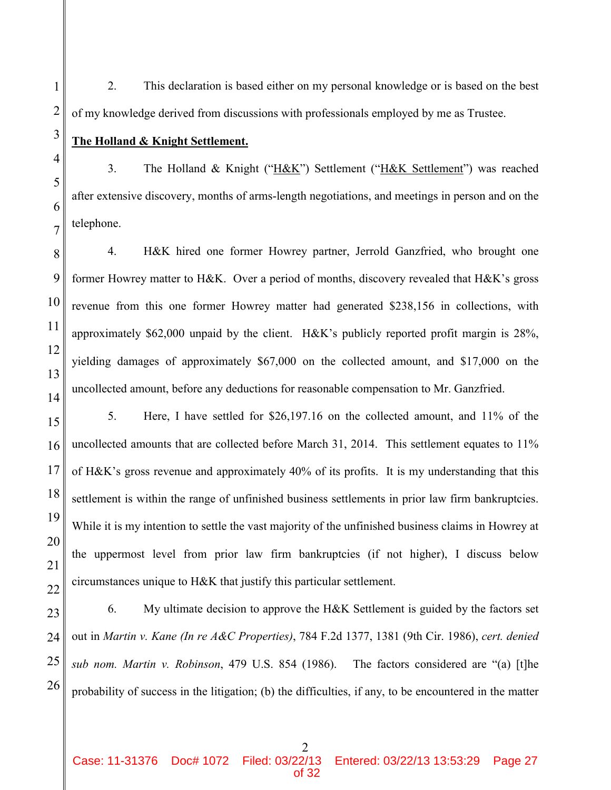2. This declaration is based either on my personal knowledge or is based on the best of my knowledge derived from discussions with professionals employed by me as Trustee.

**The Holland & Knight Settlement.** 

3. The Holland & Knight ("H&K") Settlement ("H&K Settlement") was reached after extensive discovery, months of arms-length negotiations, and meetings in person and on the telephone.

4. H&K hired one former Howrey partner, Jerrold Ganzfried, who brought one former Howrey matter to H&K. Over a period of months, discovery revealed that H&K's gross revenue from this one former Howrey matter had generated \$238,156 in collections, with approximately \$62,000 unpaid by the client. H&K's publicly reported profit margin is 28%, yielding damages of approximately \$67,000 on the collected amount, and \$17,000 on the uncollected amount, before any deductions for reasonable compensation to Mr. Ganzfried.

5. Here, I have settled for \$26,197.16 on the collected amount, and 11% of the uncollected amounts that are collected before March 31, 2014. This settlement equates to 11% of H&K's gross revenue and approximately 40% of its profits. It is my understanding that this settlement is within the range of unfinished business settlements in prior law firm bankruptcies. While it is my intention to settle the vast majority of the unfinished business claims in Howrey at the uppermost level from prior law firm bankruptcies (if not higher), I discuss below circumstances unique to H&K that justify this particular settlement.

6. My ultimate decision to approve the H&K Settlement is guided by the factors set out in *Martin v. Kane (In re A&C Properties)*, 784 F.2d 1377, 1381 (9th Cir. 1986), *cert. denied sub nom. Martin v. Robinson*, 479 U.S. 854 (1986). The factors considered are "(a) [t]he probability of success in the litigation; (b) the difficulties, if any, to be encountered in the matter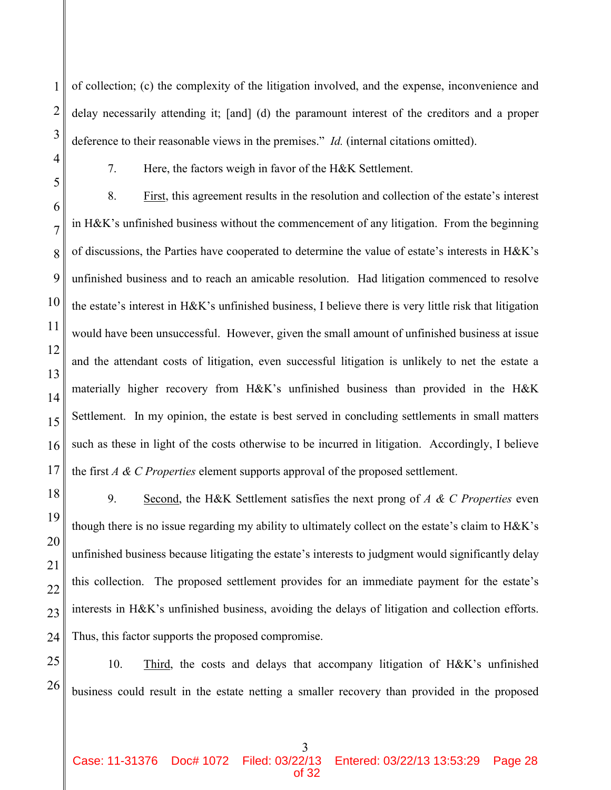of collection; (c) the complexity of the litigation involved, and the expense, inconvenience and delay necessarily attending it; [and] (d) the paramount interest of the creditors and a proper deference to their reasonable views in the premises." *Id.* (internal citations omitted).

1

2

3

4

5

6

7

8

9

10

11

12

13

14

15

16

17

18

19

20

21

22

23

24

7. Here, the factors weigh in favor of the H&K Settlement.

8. First, this agreement results in the resolution and collection of the estate's interest in H&K's unfinished business without the commencement of any litigation. From the beginning of discussions, the Parties have cooperated to determine the value of estate's interests in H&K's unfinished business and to reach an amicable resolution. Had litigation commenced to resolve the estate's interest in H&K's unfinished business, I believe there is very little risk that litigation would have been unsuccessful. However, given the small amount of unfinished business at issue and the attendant costs of litigation, even successful litigation is unlikely to net the estate a materially higher recovery from H&K's unfinished business than provided in the H&K Settlement. In my opinion, the estate is best served in concluding settlements in small matters such as these in light of the costs otherwise to be incurred in litigation. Accordingly, I believe the first *A & C Properties* element supports approval of the proposed settlement.

9. Second, the H&K Settlement satisfies the next prong of *A & C Properties* even though there is no issue regarding my ability to ultimately collect on the estate's claim to H&K's unfinished business because litigating the estate's interests to judgment would significantly delay this collection. The proposed settlement provides for an immediate payment for the estate's interests in H&K's unfinished business, avoiding the delays of litigation and collection efforts. Thus, this factor supports the proposed compromise.

25 26 10. Third, the costs and delays that accompany litigation of H&K's unfinished business could result in the estate netting a smaller recovery than provided in the proposed

3

Case: 11-31376 Doc# 1072 Filed: 03/22/13 Entered: 03/22/13 13:53:29 Page 28 of 32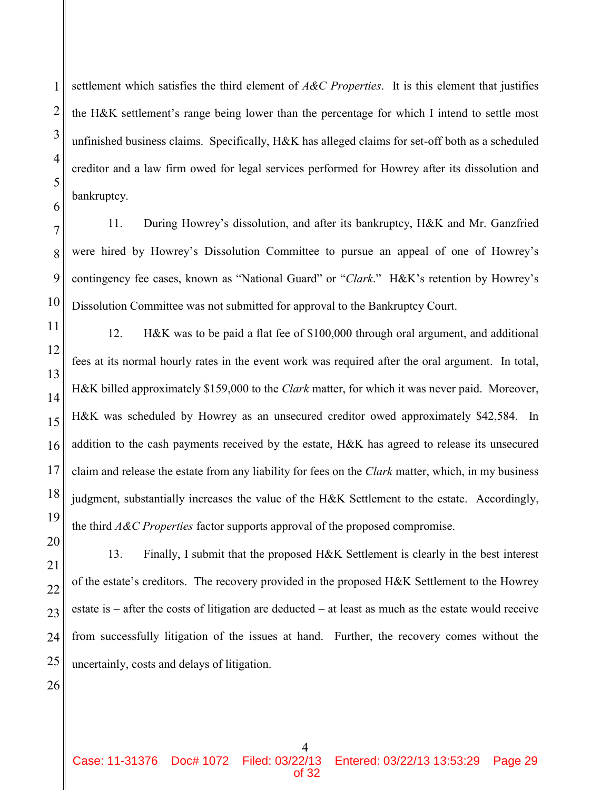settlement which satisfies the third element of *A&C Properties*. It is this element that justifies the H&K settlement's range being lower than the percentage for which I intend to settle most unfinished business claims. Specifically, H&K has alleged claims for set-off both as a scheduled creditor and a law firm owed for legal services performed for Howrey after its dissolution and bankruptcy.

11. During Howrey's dissolution, and after its bankruptcy, H&K and Mr. Ganzfried were hired by Howrey's Dissolution Committee to pursue an appeal of one of Howrey's contingency fee cases, known as "National Guard" or "*Clark*." H&K's retention by Howrey's Dissolution Committee was not submitted for approval to the Bankruptcy Court.

12. H&K was to be paid a flat fee of \$100,000 through oral argument, and additional fees at its normal hourly rates in the event work was required after the oral argument. In total, H&K billed approximately \$159,000 to the *Clark* matter, for which it was never paid. Moreover, H&K was scheduled by Howrey as an unsecured creditor owed approximately \$42,584. In addition to the cash payments received by the estate, H&K has agreed to release its unsecured claim and release the estate from any liability for fees on the *Clark* matter, which, in my business judgment, substantially increases the value of the H&K Settlement to the estate. Accordingly, the third *A&C Properties* factor supports approval of the proposed compromise.

13. Finally, I submit that the proposed H&K Settlement is clearly in the best interest of the estate's creditors. The recovery provided in the proposed H&K Settlement to the Howrey estate is – after the costs of litigation are deducted – at least as much as the estate would receive from successfully litigation of the issues at hand. Further, the recovery comes without the uncertainly, costs and delays of litigation.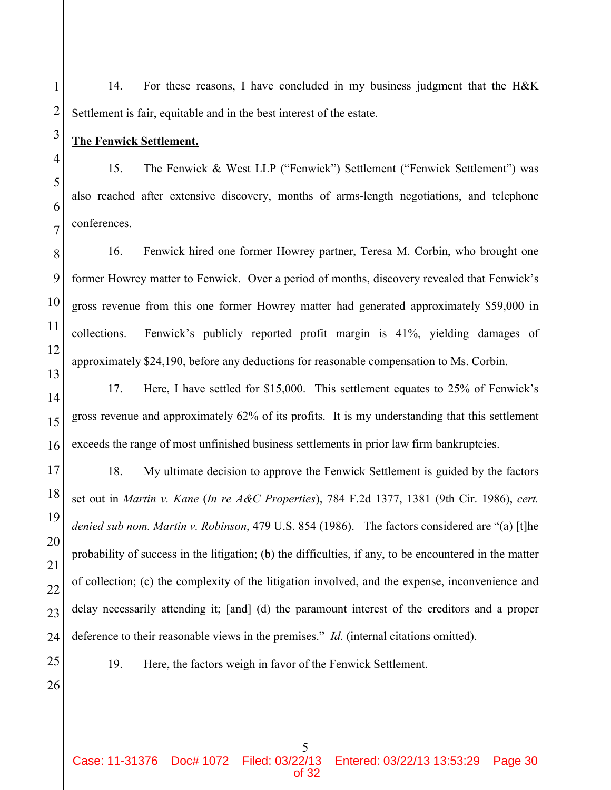14. For these reasons, I have concluded in my business judgment that the H&K Settlement is fair, equitable and in the best interest of the estate.

**The Fenwick Settlement.**

1

2

3

4

5

6

7

11

14

15

16

17

18

19

20

21

22

23

24

15. The Fenwick & West LLP ("Fenwick") Settlement ("Fenwick Settlement") was also reached after extensive discovery, months of arms-length negotiations, and telephone conferences.

8 9 10 12 13 16. Fenwick hired one former Howrey partner, Teresa M. Corbin, who brought one former Howrey matter to Fenwick. Over a period of months, discovery revealed that Fenwick's gross revenue from this one former Howrey matter had generated approximately \$59,000 in collections. Fenwick's publicly reported profit margin is 41%, yielding damages of approximately \$24,190, before any deductions for reasonable compensation to Ms. Corbin.

17. Here, I have settled for \$15,000. This settlement equates to 25% of Fenwick's gross revenue and approximately 62% of its profits. It is my understanding that this settlement exceeds the range of most unfinished business settlements in prior law firm bankruptcies.

18. My ultimate decision to approve the Fenwick Settlement is guided by the factors set out in *Martin v. Kane* (*In re A&C Properties*), 784 F.2d 1377, 1381 (9th Cir. 1986), *cert. denied sub nom. Martin v. Robinson*, 479 U.S. 854 (1986). The factors considered are "(a) [t]he probability of success in the litigation; (b) the difficulties, if any, to be encountered in the matter of collection; (c) the complexity of the litigation involved, and the expense, inconvenience and delay necessarily attending it; [and] (d) the paramount interest of the creditors and a proper deference to their reasonable views in the premises." *Id*. (internal citations omitted).

25

19. Here, the factors weigh in favor of the Fenwick Settlement.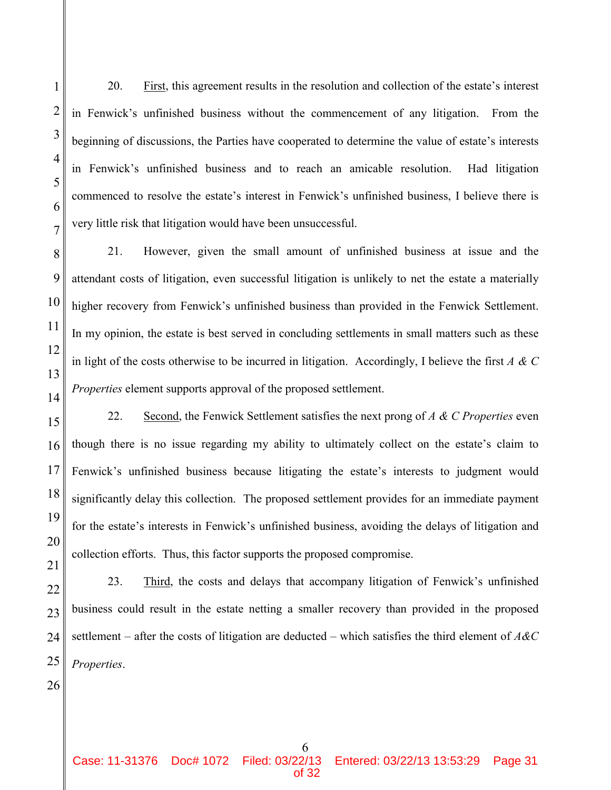20. First, this agreement results in the resolution and collection of the estate's interest in Fenwick's unfinished business without the commencement of any litigation. From the beginning of discussions, the Parties have cooperated to determine the value of estate's interests in Fenwick's unfinished business and to reach an amicable resolution. Had litigation commenced to resolve the estate's interest in Fenwick's unfinished business, I believe there is very little risk that litigation would have been unsuccessful.

21. However, given the small amount of unfinished business at issue and the attendant costs of litigation, even successful litigation is unlikely to net the estate a materially higher recovery from Fenwick's unfinished business than provided in the Fenwick Settlement. In my opinion, the estate is best served in concluding settlements in small matters such as these in light of the costs otherwise to be incurred in litigation. Accordingly, I believe the first *A & C Properties* element supports approval of the proposed settlement.

22. Second, the Fenwick Settlement satisfies the next prong of *A & C Properties* even though there is no issue regarding my ability to ultimately collect on the estate's claim to Fenwick's unfinished business because litigating the estate's interests to judgment would significantly delay this collection. The proposed settlement provides for an immediate payment for the estate's interests in Fenwick's unfinished business, avoiding the delays of litigation and collection efforts. Thus, this factor supports the proposed compromise.

22 23 24 25 23. Third, the costs and delays that accompany litigation of Fenwick's unfinished business could result in the estate netting a smaller recovery than provided in the proposed settlement – after the costs of litigation are deducted – which satisfies the third element of *A&C Properties*.

26

1

2

3

4

5

6

7

8

9

10

11

12

13

14

15

16

17

18

19

20